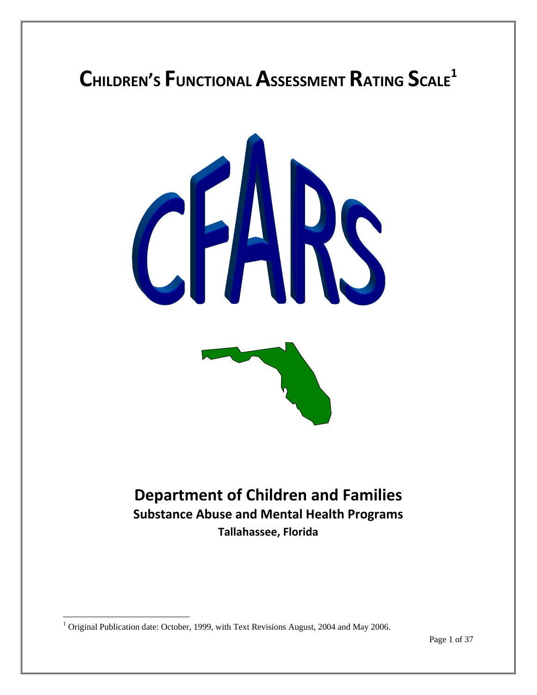# **CHILDREN'S FUNCTIONAL ASSESSMENT RATING SCALE1**



# **Department of Children and Families Substance Abuse and Mental Health Programs Tallahassee, Florida**

 $\overline{a}$ 

<sup>&</sup>lt;sup>1</sup> Original Publication date: October, 1999, with Text Revisions August, 2004 and May 2006.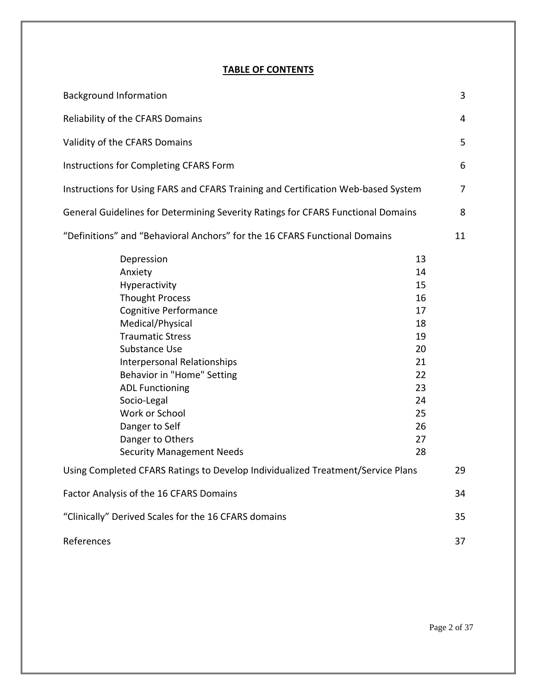# **TABLE OF CONTENTS**

| <b>Background Information</b>                                                                                                                                                                                                                                                                                                                                             |                                                                                              |    |  |  |
|---------------------------------------------------------------------------------------------------------------------------------------------------------------------------------------------------------------------------------------------------------------------------------------------------------------------------------------------------------------------------|----------------------------------------------------------------------------------------------|----|--|--|
| Reliability of the CFARS Domains                                                                                                                                                                                                                                                                                                                                          |                                                                                              | 4  |  |  |
| Validity of the CFARS Domains                                                                                                                                                                                                                                                                                                                                             |                                                                                              |    |  |  |
| Instructions for Completing CFARS Form                                                                                                                                                                                                                                                                                                                                    |                                                                                              |    |  |  |
| Instructions for Using FARS and CFARS Training and Certification Web-based System                                                                                                                                                                                                                                                                                         |                                                                                              | 7  |  |  |
| General Guidelines for Determining Severity Ratings for CFARS Functional Domains                                                                                                                                                                                                                                                                                          |                                                                                              | 8  |  |  |
| "Definitions" and "Behavioral Anchors" for the 16 CFARS Functional Domains                                                                                                                                                                                                                                                                                                |                                                                                              |    |  |  |
| Depression<br>Anxiety<br>Hyperactivity<br><b>Thought Process</b><br><b>Cognitive Performance</b><br>Medical/Physical<br><b>Traumatic Stress</b><br><b>Substance Use</b><br>Interpersonal Relationships<br>Behavior in "Home" Setting<br><b>ADL Functioning</b><br>Socio-Legal<br>Work or School<br>Danger to Self<br>Danger to Others<br><b>Security Management Needs</b> | 13<br>14<br>15<br>16<br>17<br>18<br>19<br>20<br>21<br>22<br>23<br>24<br>25<br>26<br>27<br>28 |    |  |  |
| Using Completed CFARS Ratings to Develop Individualized Treatment/Service Plans                                                                                                                                                                                                                                                                                           |                                                                                              | 29 |  |  |
| Factor Analysis of the 16 CFARS Domains                                                                                                                                                                                                                                                                                                                                   |                                                                                              |    |  |  |
| "Clinically" Derived Scales for the 16 CFARS domains                                                                                                                                                                                                                                                                                                                      |                                                                                              | 35 |  |  |
| References                                                                                                                                                                                                                                                                                                                                                                |                                                                                              | 37 |  |  |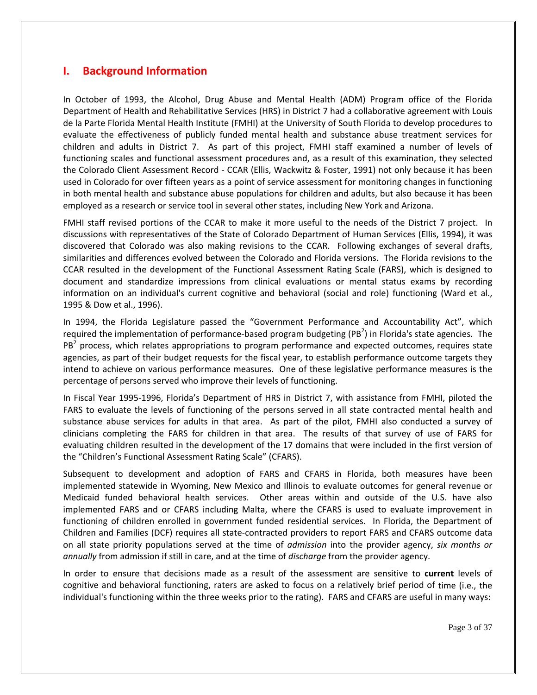# **I. Background Information**

In October of 1993, the Alcohol, Drug Abuse and Mental Health (ADM) Program office of the Florida Department of Health and Rehabilitative Services (HRS) in District 7 had a collaborative agreement with Louis de la Parte Florida Mental Health Institute (FMHI) at the University of South Florida to develop procedures to evaluate the effectiveness of publicly funded mental health and substance abuse treatment services for children and adults in District 7. As part of this project, FMHI staff examined a number of levels of functioning scales and functional assessment procedures and, as a result of this examination, they selected the Colorado Client Assessment Record ‐ CCAR (Ellis, Wackwitz & Foster, 1991) not only because it has been used in Colorado for over fifteen years as a point of service assessment for monitoring changes in functioning in both mental health and substance abuse populations for children and adults, but also because it has been employed as a research or service tool in several other states, including New York and Arizona.

FMHI staff revised portions of the CCAR to make it more useful to the needs of the District 7 project. In discussions with representatives of the State of Colorado Department of Human Services (Ellis, 1994), it was discovered that Colorado was also making revisions to the CCAR. Following exchanges of several drafts, similarities and differences evolved between the Colorado and Florida versions. The Florida revisions to the CCAR resulted in the development of the Functional Assessment Rating Scale (FARS), which is designed to document and standardize impressions from clinical evaluations or mental status exams by recording information on an individual's current cognitive and behavioral (social and role) functioning (Ward et al., 1995 & Dow et al., 1996).

In 1994, the Florida Legislature passed the "Government Performance and Accountability Act", which required the implementation of performance-based program budgeting (PB<sup>2</sup>) in Florida's state agencies. The  $PB<sup>2</sup>$  process, which relates appropriations to program performance and expected outcomes, requires state agencies, as part of their budget requests for the fiscal year, to establish performance outcome targets they intend to achieve on various performance measures. One of these legislative performance measures is the percentage of persons served who improve their levels of functioning.

In Fiscal Year 1995‐1996, Florida's Department of HRS in District 7, with assistance from FMHI, piloted the FARS to evaluate the levels of functioning of the persons served in all state contracted mental health and substance abuse services for adults in that area. As part of the pilot, FMHI also conducted a survey of clinicians completing the FARS for children in that area. The results of that survey of use of FARS for evaluating children resulted in the development of the 17 domains that were included in the first version of the "Children's Functional Assessment Rating Scale" (CFARS).

Subsequent to development and adoption of FARS and CFARS in Florida, both measures have been implemented statewide in Wyoming, New Mexico and Illinois to evaluate outcomes for general revenue or Medicaid funded behavioral health services. Other areas within and outside of the U.S. have also implemented FARS and or CFARS including Malta, where the CFARS is used to evaluate improvement in functioning of children enrolled in government funded residential services. In Florida, the Department of Children and Families (DCF) requires all state‐contracted providers to report FARS and CFARS outcome data on all state priority populations served at the time of *admission* into the provider agency, *six months or annually* from admission if still in care, and at the time of *discharge* from the provider agency.

In order to ensure that decisions made as a result of the assessment are sensitive to **current** levels of cognitive and behavioral functioning, raters are asked to focus on a relatively brief period of time (i.e., the individual's functioning within the three weeks prior to the rating). FARS and CFARS are useful in many ways: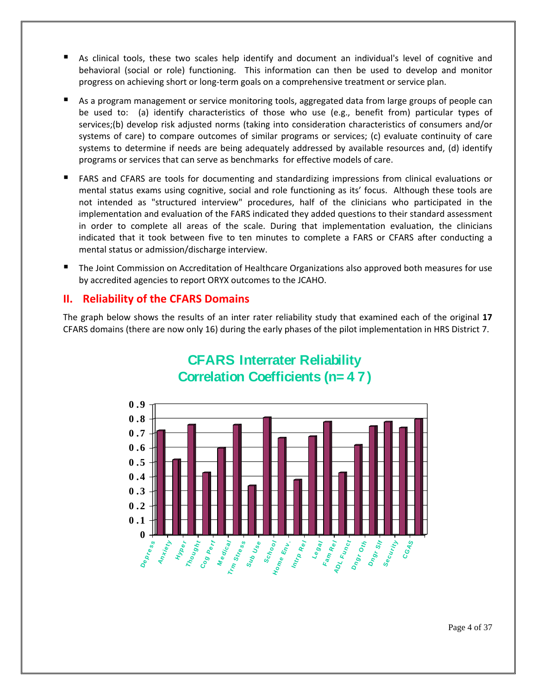- As clinical tools, these two scales help identify and document an individual's level of cognitive and behavioral (social or role) functioning. This information can then be used to develop and monitor progress on achieving short or long‐term goals on a comprehensive treatment or service plan.
- As a program management or service monitoring tools, aggregated data from large groups of people can be used to: (a) identify characteristics of those who use (e.g., benefit from) particular types of services;(b) develop risk adjusted norms (taking into consideration characteristics of consumers and/or systems of care) to compare outcomes of similar programs or services; (c) evaluate continuity of care systems to determine if needs are being adequately addressed by available resources and, (d) identify programs or services that can serve as benchmarks for effective models of care.
- FARS and CFARS are tools for documenting and standardizing impressions from clinical evaluations or mental status exams using cognitive, social and role functioning as its' focus. Although these tools are not intended as "structured interview" procedures, half of the clinicians who participated in the implementation and evaluation of the FARS indicated they added questions to their standard assessment in order to complete all areas of the scale. During that implementation evaluation, the clinicians indicated that it took between five to ten minutes to complete a FARS or CFARS after conducting a mental status or admission/discharge interview.
- The Joint Commission on Accreditation of Healthcare Organizations also approved both measures for use by accredited agencies to report ORYX outcomes to the JCAHO.

# **II. Reliability of the CFARS Domains**

The graph below shows the results of an inter rater reliability study that examined each of the original **17** CFARS domains (there are now only 16) during the early phases of the pilot implementation in HRS District 7.



# **CFARS Interrater Reliability Correlation Coefficients (n= 4 7)**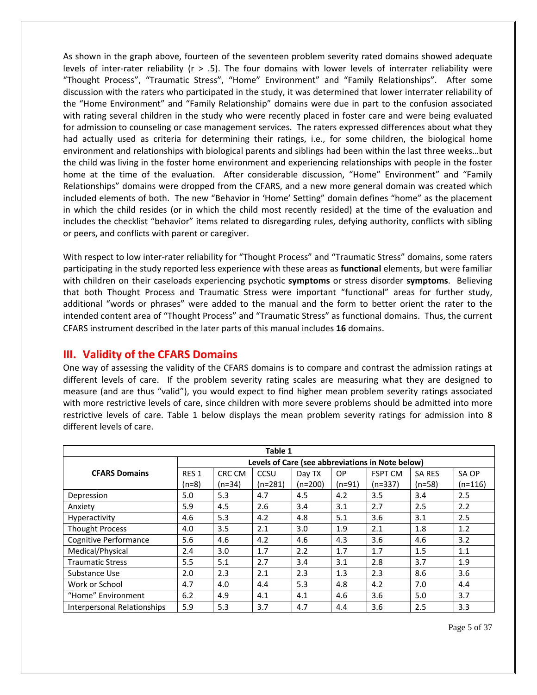As shown in the graph above, fourteen of the seventeen problem severity rated domains showed adequate levels of inter‐rater reliability (r > .5). The four domains with lower levels of interrater reliability were "Thought Process", "Traumatic Stress", "Home" Environment" and "Family Relationships". After some discussion with the raters who participated in the study, it was determined that lower interrater reliability of the "Home Environment" and "Family Relationship" domains were due in part to the confusion associated with rating several children in the study who were recently placed in foster care and were being evaluated for admission to counseling or case management services. The raters expressed differences about what they had actually used as criteria for determining their ratings, i.e., for some children, the biological home environment and relationships with biological parents and siblings had been within the last three weeks…but the child was living in the foster home environment and experiencing relationships with people in the foster home at the time of the evaluation. After considerable discussion, "Home" Environment" and "Family Relationships" domains were dropped from the CFARS, and a new more general domain was created which included elements of both. The new "Behavior in 'Home' Setting" domain defines "home" as the placement in which the child resides (or in which the child most recently resided) at the time of the evaluation and includes the checklist "behavior" items related to disregarding rules, defying authority, conflicts with sibling or peers, and conflicts with parent or caregiver.

With respect to low inter‐rater reliability for "Thought Process" and "Traumatic Stress" domains, some raters participating in the study reported less experience with these areas as **functional** elements, but were familiar with children on their caseloads experiencing psychotic **symptoms** or stress disorder **symptoms**. Believing that both Thought Process and Traumatic Stress were important "functional" areas for further study, additional "words or phrases" were added to the manual and the form to better orient the rater to the intended content area of "Thought Process" and "Traumatic Stress" as functional domains. Thus, the current CFARS instrument described in the later parts of this manual includes **16** domains.

# **III. Validity of the CFARS Domains**

One way of assessing the validity of the CFARS domains is to compare and contrast the admission ratings at different levels of care. If the problem severity rating scales are measuring what they are designed to measure (and are thus "valid"), you would expect to find higher mean problem severity ratings associated with more restrictive levels of care, since children with more severe problems should be admitted into more restrictive levels of care. Table 1 below displays the mean problem severity ratings for admission into 8 different levels of care.

| Table 1                     |                                                  |          |           |           |          |                |               |           |
|-----------------------------|--------------------------------------------------|----------|-----------|-----------|----------|----------------|---------------|-----------|
|                             | Levels of Care (see abbreviations in Note below) |          |           |           |          |                |               |           |
| <b>CFARS Domains</b>        | RES <sub>1</sub>                                 | CRC CM   | CCSU      | Day TX    | OP       | <b>FSPT CM</b> | <b>SA RES</b> | SA OP     |
|                             | $(n=8)$                                          | $(n=34)$ | $(n=281)$ | $(n=200)$ | $(n=91)$ | $(n=337)$      | $(n=58)$      | $(n=116)$ |
| Depression                  | 5.0                                              | 5.3      | 4.7       | 4.5       | 4.2      | 3.5            | 3.4           | 2.5       |
| Anxiety                     | 5.9                                              | 4.5      | 2.6       | 3.4       | 3.1      | 2.7            | 2.5           | 2.2       |
| Hyperactivity               | 4.6                                              | 5.3      | 4.2       | 4.8       | 5.1      | 3.6            | 3.1           | 2.5       |
| <b>Thought Process</b>      | 4.0                                              | 3.5      | 2.1       | 3.0       | 1.9      | 2.1            | 1.8           | 1.2       |
| Cognitive Performance       | 5.6                                              | 4.6      | 4.2       | 4.6       | 4.3      | 3.6            | 4.6           | 3.2       |
| Medical/Physical            | 2.4                                              | 3.0      | 1.7       | 2.2       | 1.7      | 1.7            | 1.5           | 1.1       |
| <b>Traumatic Stress</b>     | 5.5                                              | 5.1      | 2.7       | 3.4       | 3.1      | 2.8            | 3.7           | 1.9       |
| Substance Use               | 2.0                                              | 2.3      | 2.1       | 2.3       | 1.3      | 2.3            | 8.6           | 3.6       |
| Work or School              | 4.7                                              | 4.0      | 4.4       | 5.3       | 4.8      | 4.2            | 7.0           | 4.4       |
| "Home" Environment          | 6.2                                              | 4.9      | 4.1       | 4.1       | 4.6      | 3.6            | 5.0           | 3.7       |
| Interpersonal Relationships | 5.9                                              | 5.3      | 3.7       | 4.7       | 4.4      | 3.6            | 2.5           | 3.3       |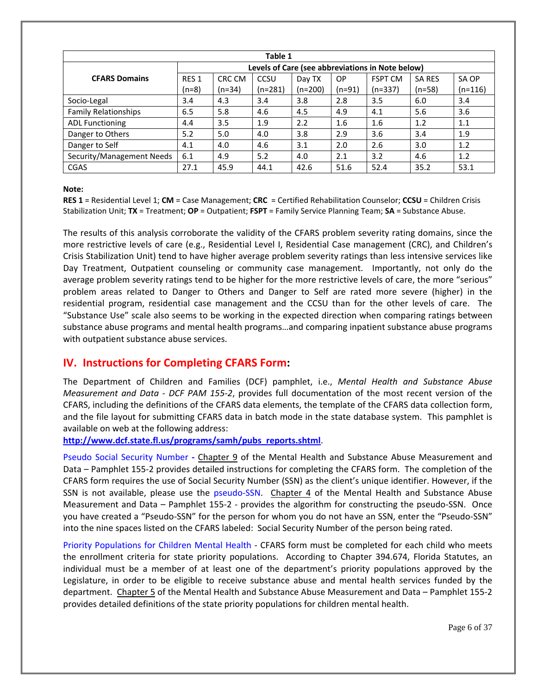| Table 1                     |                                                  |          |           |           |           |                |               |           |
|-----------------------------|--------------------------------------------------|----------|-----------|-----------|-----------|----------------|---------------|-----------|
|                             | Levels of Care (see abbreviations in Note below) |          |           |           |           |                |               |           |
| <b>CFARS Domains</b>        | RES <sub>1</sub>                                 | CRC CM   | CCSU      | Day TX    | <b>OP</b> | <b>FSPT CM</b> | <b>SA RES</b> | SA OP     |
|                             | $(n=8)$                                          | $(n=34)$ | $(n=281)$ | $(n=200)$ | $(n=91)$  | $(n=337)$      | $(n=58)$      | $(n=116)$ |
| Socio-Legal                 | 3.4                                              | 4.3      | 3.4       | 3.8       | 2.8       | 3.5            | 6.0           | 3.4       |
| <b>Family Relationships</b> | 6.5                                              | 5.8      | 4.6       | 4.5       | 4.9       | 4.1            | 5.6           | 3.6       |
| <b>ADL Functioning</b>      | 4.4                                              | 3.5      | 1.9       | 2.2       | 1.6       | 1.6            | 1.2           | 1.1       |
| Danger to Others            | 5.2                                              | 5.0      | 4.0       | 3.8       | 2.9       | 3.6            | 3.4           | 1.9       |
| Danger to Self              | 4.1                                              | 4.0      | 4.6       | 3.1       | 2.0       | 2.6            | 3.0           | 1.2       |
| Security/Management Needs   | 6.1                                              | 4.9      | 5.2       | 4.0       | 2.1       | 3.2            | 4.6           | 1.2       |
| CGAS                        | 27.1                                             | 45.9     | 44.1      | 42.6      | 51.6      | 52.4           | 35.2          | 53.1      |

**Note:**

**RES 1** = Residential Level 1; **CM** = Case Management; **CRC** = Certified Rehabilitation Counselor; **CCSU** = Children Crisis Stabilization Unit; **TX** = Treatment; **OP** = Outpatient; **FSPT** = Family Service Planning Team; **SA** = Substance Abuse.

The results of this analysis corroborate the validity of the CFARS problem severity rating domains, since the more restrictive levels of care (e.g., Residential Level I, Residential Case management (CRC), and Children's Crisis Stabilization Unit) tend to have higher average problem severity ratings than less intensive services like Day Treatment, Outpatient counseling or community case management. Importantly, not only do the average problem severity ratings tend to be higher for the more restrictive levels of care, the more "serious" problem areas related to Danger to Others and Danger to Self are rated more severe (higher) in the residential program, residential case management and the CCSU than for the other levels of care. The "Substance Use" scale also seems to be working in the expected direction when comparing ratings between substance abuse programs and mental health programs…and comparing inpatient substance abuse programs with outpatient substance abuse services.

# **IV. Instructions for Completing CFARS Form:**

The Department of Children and Families (DCF) pamphlet, i.e., *Mental Health and Substance Abuse Measurement and Data ‐ DCF PAM 155‐2*, provides full documentation of the most recent version of the CFARS, including the definitions of the CFARS data elements, the template of the CFARS data collection form, and the file layout for submitting CFARS data in batch mode in the state database system. This pamphlet is available on web at the following address:

**http://www.dcf.state.fl.us/programs/samh/pubs\_reports.shtml**.

Pseudo Social Security Number - Chapter 9 of the Mental Health and Substance Abuse Measurement and Data – Pamphlet 155‐2 provides detailed instructions for completing the CFARS form. The completion of the CFARS form requires the use of Social Security Number (SSN) as the client's unique identifier. However, if the SSN is not available, please use the pseudo-SSN. Chapter 4 of the Mental Health and Substance Abuse Measurement and Data – Pamphlet 155-2 - provides the algorithm for constructing the pseudo-SSN. Once you have created a "Pseudo‐SSN" for the person for whom you do not have an SSN, enter the "Pseudo‐SSN" into the nine spaces listed on the CFARS labeled: Social Security Number of the person being rated.

Priority Populations for Children Mental Health - CFARS form must be completed for each child who meets the enrollment criteria for state priority populations. According to Chapter 394.674, Florida Statutes, an individual must be a member of at least one of the department's priority populations approved by the Legislature, in order to be eligible to receive substance abuse and mental health services funded by the department. Chapter 5 of the Mental Health and Substance Abuse Measurement and Data – Pamphlet 155‐2 provides detailed definitions of the state priority populations for children mental health.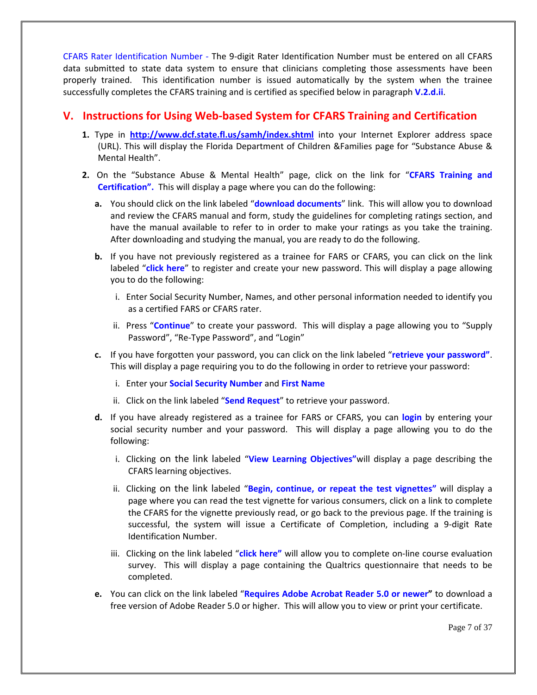CFARS Rater Identification Number ‐ The 9‐digit Rater Identification Number must be entered on all CFARS data submitted to state data system to ensure that clinicians completing those assessments have been properly trained. This identification number is issued automatically by the system when the trainee successfully completes the CFARS training and is certified as specified below in paragraph **V.2.d.ii**.

# **V. Instructions for Using Web‐based System for CFARS Training and Certification**

- **1.** Type in **http://www.dcf.state.fl.us/samh/index.shtml** into your Internet Explorer address space (URL). This will display the Florida Department of Children &Families page for "Substance Abuse & Mental Health".
- **2.** On the "Substance Abuse & Mental Health" page, click on the link for "**CFARS Training and Certification".** This will display a page where you can do the following:
	- **a.** You should click on the link labeled "**download documents**" link. This will allow you to download and review the CFARS manual and form, study the guidelines for completing ratings section, and have the manual available to refer to in order to make your ratings as you take the training. After downloading and studying the manual, you are ready to do the following.
	- **b.** If you have not previously registered as a trainee for FARS or CFARS, you can click on the link labeled "**click here**" to register and create your new password. This will display a page allowing you to do the following:
		- i. Enter Social Security Number, Names, and other personal information needed to identify you as a certified FARS or CFARS rater.
		- ii. Press "**Continue**" to create your password. This will display a page allowing you to "Supply Password", "Re‐Type Password", and "Login"
	- **c.** If you have forgotten your password, you can click on the link labeled "**retrieve your password"**. This will display a page requiring you to do the following in order to retrieve your password:
		- i. Enter your **Social Security Number** and **First Name**
		- ii. Click on the link labeled "**Send Request**" to retrieve your password.
	- **d.** If you have already registered as a trainee for FARS or CFARS, you can **login** by entering your social security number and your password. This will display a page allowing you to do the following:
		- i. Clicking on the link labeled "**View Learning Objectives"**will display a page describing the CFARS learning objectives.
		- ii. Clicking on the link labeled "**Begin, continue, or repeat the test vignettes"** will display a page where you can read the test vignette for various consumers, click on a link to complete the CFARS for the vignette previously read, or go back to the previous page. If the training is successful, the system will issue a Certificate of Completion, including a 9‐digit Rate Identification Number.
		- iii. Clicking on the link labeled "**click here"** will allow you to complete on‐line course evaluation survey. This will display a page containing the Qualtrics questionnaire that needs to be completed.
	- **e.** You can click on the link labeled "**Requires Adobe Acrobat Reader 5.0 or newer"** to download a free version of Adobe Reader 5.0 or higher. This will allow you to view or print your certificate.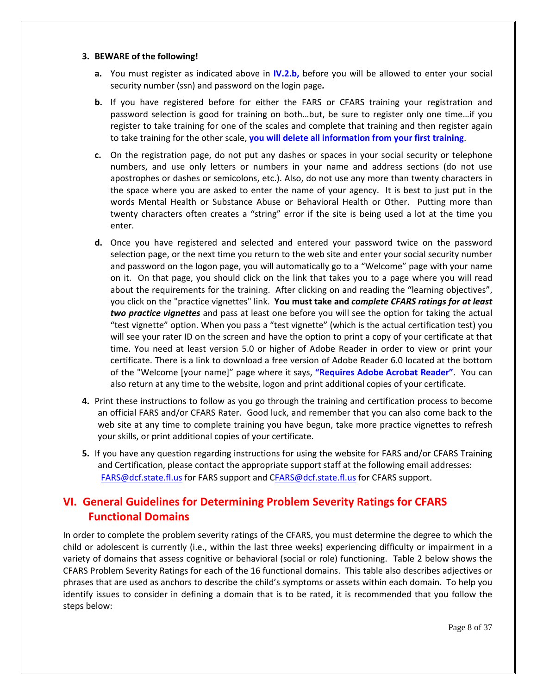#### **3. BEWARE of the following!**

- **a.** You must register as indicated above in **IV.2.b,** before you will be allowed to enter your social security number (ssn) and password on the login page*.*
- **b.** If you have registered before for either the FARS or CFARS training your registration and password selection is good for training on both…but, be sure to register only one time…if you register to take training for one of the scales and complete that training and then register again to take training for the other scale, **you will delete all information from your first training**.
- **c.** On the registration page, do not put any dashes or spaces in your social security or telephone numbers, and use only letters or numbers in your name and address sections (do not use apostrophes or dashes or semicolons, etc.). Also, do not use any more than twenty characters in the space where you are asked to enter the name of your agency. It is best to just put in the words Mental Health or Substance Abuse or Behavioral Health or Other. Putting more than twenty characters often creates a "string" error if the site is being used a lot at the time you enter.
- **d.** Once you have registered and selected and entered your password twice on the password selection page, or the next time you return to the web site and enter your social security number and password on the logon page, you will automatically go to a "Welcome" page with your name on it. On that page, you should click on the link that takes you to a page where you will read about the requirements for the training. After clicking on and reading the "learning objectives", you click on the "practice vignettes" link. **You must take and** *complete CFARS ratings for at least two practice vignettes* and pass at least one before you will see the option for taking the actual "test vignette" option. When you pass a "test vignette" (which is the actual certification test) you will see your rater ID on the screen and have the option to print a copy of your certificate at that time. You need at least version 5.0 or higher of Adobe Reader in order to view or print your certificate. There is a link to download a free version of Adobe Reader 6.0 located at the bottom of the "Welcome [your name]" page where it says, **"Requires Adobe Acrobat Reader"**. You can also return at any time to the website, logon and print additional copies of your certificate.
- **4.** Print these instructions to follow as you go through the training and certification process to become an official FARS and/or CFARS Rater. Good luck, and remember that you can also come back to the web site at any time to complete training you have begun, take more practice vignettes to refresh your skills, or print additional copies of your certificate.
- **5.** If you have any question regarding instructions for using the website for FARS and/or CFARS Training and Certification, please contact the appropriate support staff at the following email addresses: FARS@dcf.state.fl.us for FARS support and CFARS@dcf.state.fl.us for CFARS support.

# **VI. General Guidelines for Determining Problem Severity Ratings for CFARS Functional Domains**

In order to complete the problem severity ratings of the CFARS, you must determine the degree to which the child or adolescent is currently (i.e., within the last three weeks) experiencing difficulty or impairment in a variety of domains that assess cognitive or behavioral (social or role) functioning. Table 2 below shows the CFARS Problem Severity Ratings for each of the 16 functional domains. This table also describes adjectives or phrases that are used as anchors to describe the child's symptoms or assets within each domain. To help you identify issues to consider in defining a domain that is to be rated, it is recommended that you follow the steps below: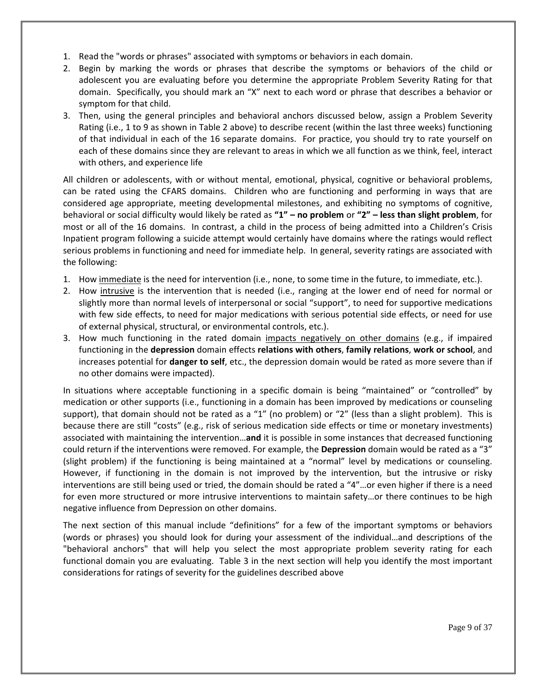- 1. Read the "words or phrases" associated with symptoms or behaviors in each domain.
- 2. Begin by marking the words or phrases that describe the symptoms or behaviors of the child or adolescent you are evaluating before you determine the appropriate Problem Severity Rating for that domain. Specifically, you should mark an "X" next to each word or phrase that describes a behavior or symptom for that child.
- 3. Then, using the general principles and behavioral anchors discussed below, assign a Problem Severity Rating (i.e., 1 to 9 as shown in Table 2 above) to describe recent (within the last three weeks) functioning of that individual in each of the 16 separate domains. For practice, you should try to rate yourself on each of these domains since they are relevant to areas in which we all function as we think, feel, interact with others, and experience life

All children or adolescents, with or without mental, emotional, physical, cognitive or behavioral problems, can be rated using the CFARS domains. Children who are functioning and performing in ways that are considered age appropriate, meeting developmental milestones, and exhibiting no symptoms of cognitive, behavioral or social difficulty would likely be rated as **"1" – no problem** or **"2" – less than slight problem**, for most or all of the 16 domains. In contrast, a child in the process of being admitted into a Children's Crisis Inpatient program following a suicide attempt would certainly have domains where the ratings would reflect serious problems in functioning and need for immediate help. In general, severity ratings are associated with the following:

- 1. How immediate is the need for intervention (i.e., none, to some time in the future, to immediate, etc.).
- 2. How intrusive is the intervention that is needed (i.e., ranging at the lower end of need for normal or slightly more than normal levels of interpersonal or social "support", to need for supportive medications with few side effects, to need for major medications with serious potential side effects, or need for use of external physical, structural, or environmental controls, etc.).
- 3. How much functioning in the rated domain impacts negatively on other domains (e.g., if impaired functioning in the **depression** domain effects **relations with others**, **family relations**, **work or school**, and increases potential for **danger to self**, etc., the depression domain would be rated as more severe than if no other domains were impacted).

In situations where acceptable functioning in a specific domain is being "maintained" or "controlled" by medication or other supports (i.e., functioning in a domain has been improved by medications or counseling support), that domain should not be rated as a "1" (no problem) or "2" (less than a slight problem). This is because there are still "costs" (e.g., risk of serious medication side effects or time or monetary investments) associated with maintaining the intervention…**and** it is possible in some instances that decreased functioning could return if the interventions were removed. For example, the **Depression** domain would be rated as a "3" (slight problem) if the functioning is being maintained at a "normal" level by medications or counseling. However, if functioning in the domain is not improved by the intervention, but the intrusive or risky interventions are still being used or tried, the domain should be rated a "4"…or even higher if there is a need for even more structured or more intrusive interventions to maintain safety…or there continues to be high negative influence from Depression on other domains.

The next section of this manual include "definitions" for a few of the important symptoms or behaviors (words or phrases) you should look for during your assessment of the individual…and descriptions of the "behavioral anchors" that will help you select the most appropriate problem severity rating for each functional domain you are evaluating. Table 3 in the next section will help you identify the most important considerations for ratings of severity for the guidelines described above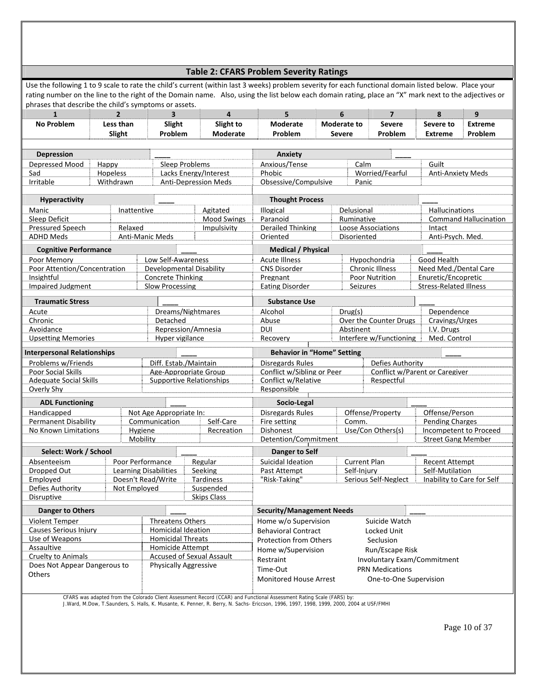#### **Table 2: CFARS Problem Severity Ratings**

Use the following 1 to 9 scale to rate the child's current (within last 3 weeks) problem severity for each functional domain listed below. Place your rating number on the line to the right of the Domain name. Also, using the list below each domain rating, place an "X" mark next to the adjectives or phrases that describe the child's symptoms or assets.

| $\mathbf{1}$                               | $\overline{2}$                                                                        | $\overline{\mathbf{3}}$                                     |                                           | $\overline{4}$        | 5                                              |                                             | 6                                  | $\overline{7}$              | 8                                             | 9                            |  |
|--------------------------------------------|---------------------------------------------------------------------------------------|-------------------------------------------------------------|-------------------------------------------|-----------------------|------------------------------------------------|---------------------------------------------|------------------------------------|-----------------------------|-----------------------------------------------|------------------------------|--|
| <b>No Problem</b>                          | Less than                                                                             | Slight                                                      |                                           | Slight to             | <b>Moderate</b>                                |                                             | Moderate to                        | <b>Severe</b>               | Severe to                                     | <b>Extreme</b>               |  |
|                                            | Slight                                                                                | Problem                                                     |                                           | Moderate              | Problem                                        |                                             | <b>Severe</b>                      | Problem                     | <b>Extreme</b>                                | Problem                      |  |
|                                            |                                                                                       |                                                             |                                           |                       |                                                |                                             |                                    |                             |                                               |                              |  |
| <b>Depression</b>                          |                                                                                       |                                                             |                                           |                       | Anxiety                                        |                                             |                                    |                             |                                               |                              |  |
| Depressed Mood                             | Happy                                                                                 | <b>Sleep Problems</b>                                       |                                           |                       | Anxious/Tense                                  |                                             | Guilt                              |                             |                                               |                              |  |
| Sad                                        | Hopeless                                                                              |                                                             |                                           | Lacks Energy/Interest | Phobic                                         | Worried/Fearful<br><b>Anti-Anxiety Meds</b> |                                    |                             |                                               |                              |  |
| Irritable                                  | Withdrawn                                                                             | <b>Anti-Depression Meds</b>                                 |                                           |                       |                                                | Obsessive/Compulsive<br>Panic               |                                    |                             |                                               |                              |  |
|                                            |                                                                                       |                                                             |                                           |                       |                                                |                                             |                                    |                             |                                               |                              |  |
| <b>Hyperactivity</b>                       |                                                                                       |                                                             |                                           |                       | <b>Thought Process</b>                         |                                             |                                    |                             |                                               |                              |  |
| Manic                                      | Inattentive                                                                           |                                                             |                                           | Agitated              | Illogical                                      |                                             | Delusional                         |                             | Hallucinations                                |                              |  |
| Sleep Deficit                              |                                                                                       |                                                             |                                           | <b>Mood Swings</b>    | Paranoid                                       |                                             | Ruminative                         |                             |                                               | <b>Command Hallucination</b> |  |
| <b>Pressured Speech</b>                    | Relaxed                                                                               |                                                             |                                           | Impulsivity           | <b>Derailed Thinking</b>                       |                                             |                                    | Loose Associations          | Intact                                        |                              |  |
| <b>ADHD Meds</b>                           |                                                                                       | Anti-Manic Meds                                             |                                           |                       | Oriented                                       |                                             | Disoriented                        |                             | Anti-Psych. Med.                              |                              |  |
| <b>Cognitive Performance</b>               |                                                                                       |                                                             |                                           |                       | <b>Medical / Physical</b>                      |                                             |                                    |                             |                                               |                              |  |
| Poor Memory                                |                                                                                       | Low Self-Awareness                                          |                                           |                       | <b>Acute Illness</b>                           |                                             |                                    | Hypochondria                | Good Health                                   |                              |  |
| Poor Attention/Concentration               |                                                                                       | Developmental Disability                                    |                                           |                       | <b>CNS Disorder</b>                            |                                             |                                    | <b>Chronic Illness</b>      | Need Med./Dental Care                         |                              |  |
| Insightful                                 |                                                                                       | <b>Concrete Thinking</b>                                    |                                           |                       | Pregnant                                       |                                             |                                    | <b>Poor Nutrition</b>       | Enuretic/Encopretic                           |                              |  |
| <b>Impaired Judgment</b>                   |                                                                                       | <b>Slow Processing</b>                                      |                                           |                       | <b>Eating Disorder</b>                         |                                             | <b>Seizures</b>                    |                             | <b>Stress-Related Illness</b>                 |                              |  |
| <b>Traumatic Stress</b>                    |                                                                                       |                                                             |                                           |                       | <b>Substance Use</b>                           |                                             |                                    |                             |                                               |                              |  |
| Acute                                      |                                                                                       |                                                             |                                           |                       | Alcohol                                        |                                             | Drug(s)                            |                             | Dependence                                    |                              |  |
| Chronic                                    | Dreams/Nightmares<br>Abuse<br>Detached                                                |                                                             |                                           |                       | Over the Counter Drugs<br>Cravings/Urges       |                                             |                                    |                             |                                               |                              |  |
| Avoidance                                  | Repression/Amnesia                                                                    |                                                             |                                           |                       | <b>DUI</b>                                     |                                             | Abstinent                          |                             | I.V. Drugs                                    |                              |  |
| <b>Upsetting Memories</b>                  | Hyper vigilance                                                                       |                                                             |                                           |                       | Recovery                                       |                                             |                                    | Interfere w/Functioning     | Med. Control                                  |                              |  |
| <b>Interpersonal Relationships</b>         |                                                                                       |                                                             |                                           |                       | <b>Behavior in "Home" Setting</b>              |                                             |                                    |                             |                                               |                              |  |
| Problems w/Friends                         |                                                                                       | Diff. Estab./Maintain                                       |                                           |                       |                                                |                                             |                                    | Defies Authority            |                                               |                              |  |
| <b>Poor Social Skills</b>                  |                                                                                       | Age-Appropriate Group                                       |                                           |                       | Disregards Rules<br>Conflict w/Sibling or Peer |                                             |                                    |                             | Conflict w/Parent or Caregiver                |                              |  |
| <b>Adequate Social Skills</b>              |                                                                                       | <b>Supportive Relationships</b>                             |                                           |                       | Conflict w/Relative                            |                                             |                                    | Respectful                  |                                               |                              |  |
| Overly Shy                                 |                                                                                       |                                                             |                                           |                       | Responsible                                    |                                             |                                    |                             |                                               |                              |  |
| <b>ADL Functioning</b>                     |                                                                                       |                                                             |                                           |                       | Socio-Legal                                    |                                             |                                    |                             |                                               |                              |  |
|                                            |                                                                                       | Not Age Appropriate In:                                     |                                           |                       | <b>Disregards Rules</b>                        |                                             |                                    |                             |                                               |                              |  |
| Handicapped<br><b>Permanent Disability</b> |                                                                                       | Communication                                               |                                           | Self-Care             | Fire setting                                   |                                             | Offense/Property<br>Comm.          |                             | Offense/Person<br><b>Pending Charges</b>      |                              |  |
| No Known Limitations                       |                                                                                       | Hygiene                                                     |                                           | Recreation            | <b>Dishonest</b>                               |                                             |                                    | Use/Con Others(s)           | Incompetent to Proceed                        |                              |  |
|                                            |                                                                                       | Mobility                                                    |                                           |                       | Detention/Commitment                           |                                             |                                    |                             | <b>Street Gang Member</b>                     |                              |  |
| Select: Work / School                      |                                                                                       |                                                             |                                           |                       |                                                |                                             |                                    |                             |                                               |                              |  |
|                                            |                                                                                       |                                                             |                                           |                       | Danger to Self                                 |                                             |                                    |                             |                                               |                              |  |
| Absenteeism                                |                                                                                       | Poor Performance                                            |                                           | Regular               | Suicidal Ideation                              |                                             | <b>Current Plan</b><br>Self-Injury |                             | <b>Recent Attempt</b>                         |                              |  |
| Dropped Out<br>Employed                    |                                                                                       | <b>Learning Disabilities</b><br>Doesn't Read/Write          |                                           | Seeking<br>Tardiness  | Past Attempt<br>"Risk-Taking"                  |                                             |                                    | Serious Self-Neglect        | Self-Mutilation<br>Inability to Care for Self |                              |  |
| Defies Authority                           | Not Employed                                                                          |                                                             |                                           | Suspended             |                                                |                                             |                                    |                             |                                               |                              |  |
| Disruptive                                 |                                                                                       |                                                             |                                           | <b>Skips Class</b>    |                                                |                                             |                                    |                             |                                               |                              |  |
|                                            |                                                                                       |                                                             |                                           |                       |                                                |                                             |                                    |                             |                                               |                              |  |
| <b>Danger to Others</b>                    |                                                                                       |                                                             |                                           |                       | <b>Security/Management Needs</b>               |                                             |                                    |                             |                                               |                              |  |
|                                            | <b>Violent Temper</b><br><b>Threatens Others</b>                                      |                                                             |                                           | Home w/o Supervision  |                                                |                                             | Suicide Watch                      |                             |                                               |                              |  |
|                                            | <b>Homicidal Ideation</b><br><b>Causes Serious Injury</b><br><b>Homicidal Threats</b> |                                                             | <b>Behavioral Contract</b><br>Locked Unit |                       |                                                |                                             |                                    |                             |                                               |                              |  |
| Use of Weapons<br>Assaultive               |                                                                                       |                                                             |                                           |                       | <b>Protection from Others</b>                  |                                             |                                    | Seclusion                   |                                               |                              |  |
| Cruelty to Animals                         |                                                                                       | <b>Homicide Attempt</b><br><b>Accused of Sexual Assault</b> |                                           |                       | Home w/Supervision                             |                                             |                                    | Run/Escape Risk             |                                               |                              |  |
|                                            |                                                                                       | <b>Physically Aggressive</b>                                |                                           |                       | Restraint                                      |                                             |                                    | Involuntary Exam/Commitment |                                               |                              |  |
| Does Not Appear Dangerous to<br>Others     |                                                                                       |                                                             |                                           |                       | Time-Out                                       |                                             |                                    | <b>PRN Medications</b>      |                                               |                              |  |
|                                            |                                                                                       |                                                             |                                           |                       | <b>Monitored House Arrest</b>                  |                                             |                                    | One-to-One Supervision      |                                               |                              |  |
|                                            |                                                                                       |                                                             |                                           |                       |                                                |                                             |                                    |                             |                                               |                              |  |

CFARS was adapted from the Colorado Client Assessment Record (CCAR) and Functional Assessment Rating Scale (FARS) by:<br>J.Ward, M.Dow, T.Saunders, S. Halls, K. Musante, K. Penner, R. Berry, N. Sachs- Ericcson, 1996, 1997, 19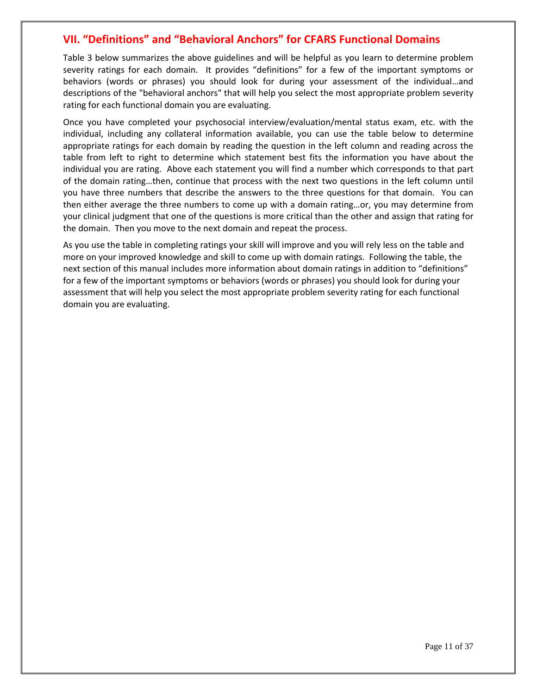# **VII. "Definitions" and "Behavioral Anchors" for CFARS Functional Domains**

Table 3 below summarizes the above guidelines and will be helpful as you learn to determine problem severity ratings for each domain. It provides "definitions" for a few of the important symptoms or behaviors (words or phrases) you should look for during your assessment of the individual…and descriptions of the "behavioral anchors" that will help you select the most appropriate problem severity rating for each functional domain you are evaluating.

Once you have completed your psychosocial interview/evaluation/mental status exam, etc. with the individual, including any collateral information available, you can use the table below to determine appropriate ratings for each domain by reading the question in the left column and reading across the table from left to right to determine which statement best fits the information you have about the individual you are rating. Above each statement you will find a number which corresponds to that part of the domain rating…then, continue that process with the next two questions in the left column until you have three numbers that describe the answers to the three questions for that domain. You can then either average the three numbers to come up with a domain rating…or, you may determine from your clinical judgment that one of the questions is more critical than the other and assign that rating for the domain. Then you move to the next domain and repeat the process.

As you use the table in completing ratings your skill will improve and you will rely less on the table and more on your improved knowledge and skill to come up with domain ratings. Following the table, the next section of this manual includes more information about domain ratings in addition to "definitions" for a few of the important symptoms or behaviors (words or phrases) you should look for during your assessment that will help you select the most appropriate problem severity rating for each functional domain you are evaluating.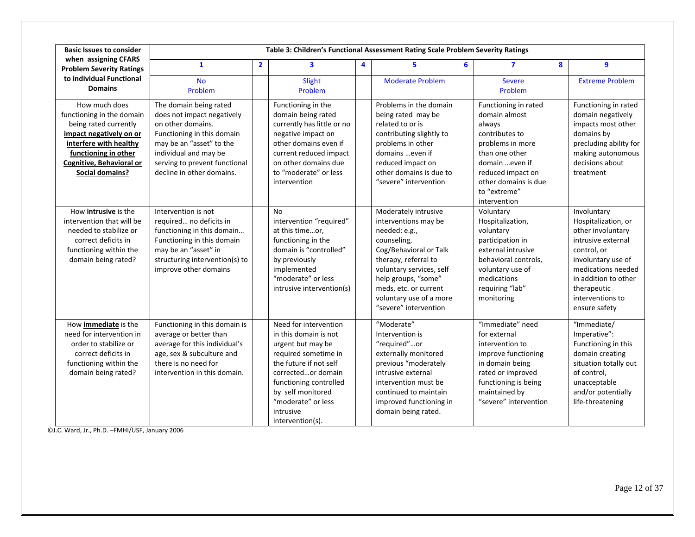| <b>Basic Issues to consider</b>                                                                                                                                                                 |                                                                                                                                                                                                                            |                | Table 3: Children's Functional Assessment Rating Scale Problem Severity Ratings                                                                                                                                                                   |   |                                                                                                                                                                                                                                                                |   |                                                                                                                                                                                                        |   |                                                                                                                                                                                                                      |
|-------------------------------------------------------------------------------------------------------------------------------------------------------------------------------------------------|----------------------------------------------------------------------------------------------------------------------------------------------------------------------------------------------------------------------------|----------------|---------------------------------------------------------------------------------------------------------------------------------------------------------------------------------------------------------------------------------------------------|---|----------------------------------------------------------------------------------------------------------------------------------------------------------------------------------------------------------------------------------------------------------------|---|--------------------------------------------------------------------------------------------------------------------------------------------------------------------------------------------------------|---|----------------------------------------------------------------------------------------------------------------------------------------------------------------------------------------------------------------------|
| when assigning CFARS<br><b>Problem Severity Ratings</b>                                                                                                                                         | $\mathbf{1}$                                                                                                                                                                                                               | $\overline{2}$ | $\overline{\mathbf{3}}$                                                                                                                                                                                                                           | 4 | 5                                                                                                                                                                                                                                                              | 6 | $\overline{\mathbf{z}}$                                                                                                                                                                                | 8 | $\mathbf{9}$                                                                                                                                                                                                         |
| to individual Functional<br><b>Domains</b>                                                                                                                                                      | <b>No</b><br>Problem                                                                                                                                                                                                       |                | Slight<br>Problem                                                                                                                                                                                                                                 |   | <b>Moderate Problem</b>                                                                                                                                                                                                                                        |   | <b>Severe</b><br>Problem                                                                                                                                                                               |   | <b>Extreme Problem</b>                                                                                                                                                                                               |
| How much does<br>functioning in the domain<br>being rated currently<br>impact negatively on or<br>interfere with healthy<br>functioning in other<br>Cognitive, Behavioral or<br>Social domains? | The domain being rated<br>does not impact negatively<br>on other domains.<br>Functioning in this domain<br>may be an "asset" to the<br>individual and may be<br>serving to prevent functional<br>decline in other domains. |                | Functioning in the<br>domain being rated<br>currently has little or no<br>negative impact on<br>other domains even if<br>current reduced impact<br>on other domains due<br>to "moderate" or less<br>intervention                                  |   | Problems in the domain<br>being rated may be<br>related to or is<br>contributing slightly to<br>problems in other<br>domains  even if<br>reduced impact on<br>other domains is due to<br>"severe" intervention                                                 |   | Functioning in rated<br>domain almost<br>always<br>contributes to<br>problems in more<br>than one other<br>domain even if<br>reduced impact on<br>other domains is due<br>to "extreme"<br>intervention |   | Functioning in rated<br>domain negatively<br>impacts most other<br>domains by<br>precluding ability for<br>making autonomous<br>decisions about<br>treatment                                                         |
| How <i>intrusive</i> is the<br>intervention that will be<br>needed to stabilize or<br>correct deficits in<br>functioning within the<br>domain being rated?                                      | Intervention is not<br>required no deficits in<br>functioning in this domain<br>Functioning in this domain<br>may be an "asset" in<br>structuring intervention(s) to<br>improve other domains                              |                | <b>No</b><br>intervention "required"<br>at this timeor,<br>functioning in the<br>domain is "controlled"<br>by previously<br>implemented<br>"moderate" or less<br>intrusive intervention(s)                                                        |   | Moderately intrusive<br>interventions may be<br>needed: e.g.,<br>counseling,<br>Cog/Behavioral or Talk<br>therapy, referral to<br>voluntary services, self<br>help groups, "some"<br>meds, etc. or current<br>voluntary use of a more<br>"severe" intervention |   | Voluntary<br>Hospitalization,<br>voluntary<br>participation in<br>external intrusive<br>behavioral controls.<br>voluntary use of<br>medications<br>requiring "lab"<br>monitoring                       |   | Involuntary<br>Hospitalization, or<br>other involuntary<br>intrusive external<br>control, or<br>involuntary use of<br>medications needed<br>in addition to other<br>therapeutic<br>interventions to<br>ensure safety |
| How <i>immediate</i> is the<br>need for intervention in<br>order to stabilize or<br>correct deficits in<br>functioning within the<br>domain being rated?                                        | Functioning in this domain is<br>average or better than<br>average for this individual's<br>age, sex & subculture and<br>there is no need for<br>intervention in this domain.                                              |                | Need for intervention<br>in this domain is not<br>urgent but may be<br>required sometime in<br>the future if not self<br>correctedor domain<br>functioning controlled<br>by self monitored<br>"moderate" or less<br>intrusive<br>intervention(s). |   | "Moderate"<br>Intervention is<br>"required"or<br>externally monitored<br>previous "moderately<br>intrusive external<br>intervention must be<br>continued to maintain<br>improved functioning in<br>domain being rated.                                         |   | "Immediate" need<br>for external<br>intervention to<br>improve functioning<br>in domain being<br>rated or improved<br>functioning is being<br>maintained by<br>"severe" intervention                   |   | "Immediate/<br>Imperative":<br>Functioning in this<br>domain creating<br>situation totally out<br>of control,<br>unacceptable<br>and/or potentially<br>life-threatening                                              |

©J.C. Ward, Jr., Ph.D. –FMHI/USF, January 2006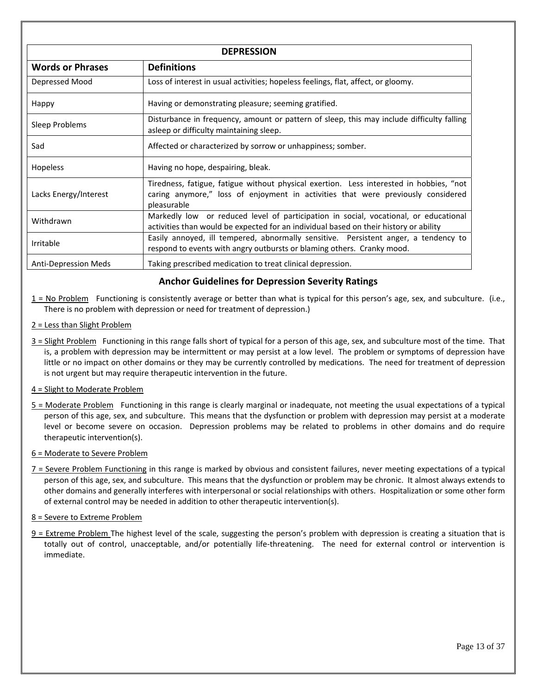| <b>DEPRESSION</b>           |                                                                                                                                                                                            |  |  |  |
|-----------------------------|--------------------------------------------------------------------------------------------------------------------------------------------------------------------------------------------|--|--|--|
| <b>Words or Phrases</b>     | <b>Definitions</b>                                                                                                                                                                         |  |  |  |
| Depressed Mood              | Loss of interest in usual activities; hopeless feelings, flat, affect, or gloomy.                                                                                                          |  |  |  |
| Happy                       | Having or demonstrating pleasure; seeming gratified.                                                                                                                                       |  |  |  |
| Sleep Problems              | Disturbance in frequency, amount or pattern of sleep, this may include difficulty falling<br>asleep or difficulty maintaining sleep.                                                       |  |  |  |
| Sad                         | Affected or characterized by sorrow or unhappiness; somber.                                                                                                                                |  |  |  |
| <b>Hopeless</b>             | Having no hope, despairing, bleak.                                                                                                                                                         |  |  |  |
| Lacks Energy/Interest       | Tiredness, fatigue, fatigue without physical exertion. Less interested in hobbies, "not<br>caring anymore," loss of enjoyment in activities that were previously considered<br>pleasurable |  |  |  |
| Withdrawn                   | Markedly low or reduced level of participation in social, vocational, or educational<br>activities than would be expected for an individual based on their history or ability              |  |  |  |
| Irritable                   | Easily annoyed, ill tempered, abnormally sensitive. Persistent anger, a tendency to<br>respond to events with angry outbursts or blaming others. Cranky mood.                              |  |  |  |
| <b>Anti-Depression Meds</b> | Taking prescribed medication to treat clinical depression.                                                                                                                                 |  |  |  |

## **Anchor Guidelines for Depression Severity Ratings**

- $1 = No$  Problem Functioning is consistently average or better than what is typical for this person's age, sex, and subculture. (i.e., There is no problem with depression or need for treatment of depression.)
- 2 = Less than Slight Problem
- 3 = Slight Problem Functioning in this range falls short of typical for a person of this age, sex, and subculture most of the time. That is, a problem with depression may be intermittent or may persist at a low level. The problem or symptoms of depression have little or no impact on other domains or they may be currently controlled by medications. The need for treatment of depression is not urgent but may require therapeutic intervention in the future.
- 4 = Slight to Moderate Problem
- 5 = Moderate Problem Functioning in this range is clearly marginal or inadequate, not meeting the usual expectations of a typical person of this age, sex, and subculture. This means that the dysfunction or problem with depression may persist at a moderate level or become severe on occasion. Depression problems may be related to problems in other domains and do require therapeutic intervention(s).
- 6 = Moderate to Severe Problem
- 7 = Severe Problem Functioning in this range is marked by obvious and consistent failures, never meeting expectations of a typical person of this age, sex, and subculture. This means that the dysfunction or problem may be chronic. It almost always extends to other domains and generally interferes with interpersonal or social relationships with others. Hospitalization or some other form of external control may be needed in addition to other therapeutic intervention(s).

#### 8 = Severe to Extreme Problem

 $9$  = Extreme Problem The highest level of the scale, suggesting the person's problem with depression is creating a situation that is totally out of control, unacceptable, and/or potentially life-threatening. The need for external control or intervention is immediate.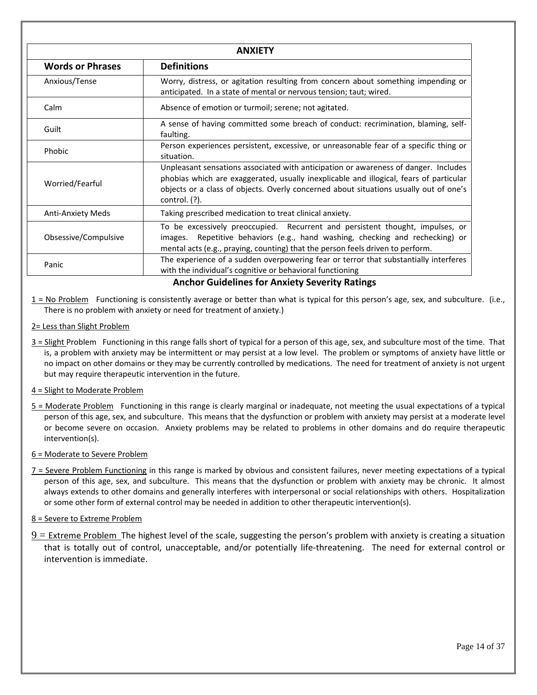|                          | <b>ANXIETY</b>                                                                                                                                                                                                                                                                             |
|--------------------------|--------------------------------------------------------------------------------------------------------------------------------------------------------------------------------------------------------------------------------------------------------------------------------------------|
| <b>Words or Phrases</b>  | <b>Definitions</b>                                                                                                                                                                                                                                                                         |
| Anxious/Tense            | Worry, distress, or agitation resulting from concern about something impending or<br>anticipated. In a state of mental or nervous tension; taut; wired.                                                                                                                                    |
| Calm                     | Absence of emotion or turmoil; serene; not agitated.                                                                                                                                                                                                                                       |
| Guilt                    | A sense of having committed some breach of conduct: recrimination, blaming, self-<br>faulting.                                                                                                                                                                                             |
| Phobic                   | Person experiences persistent, excessive, or unreasonable fear of a specific thing or<br>situation.                                                                                                                                                                                        |
| Worried/Fearful          | Unpleasant sensations associated with anticipation or awareness of danger. Includes<br>phobias which are exaggerated, usually inexplicable and illogical, fears of particular<br>objects or a class of objects. Overly concerned about situations usually out of one's<br>control. $(?)$ . |
| <b>Anti-Anxiety Meds</b> | Taking prescribed medication to treat clinical anxiety.                                                                                                                                                                                                                                    |
| Obsessive/Compulsive     | To be excessively preoccupied. Recurrent and persistent thought, impulses, or<br>Repetitive behaviors (e.g., hand washing, checking and rechecking) or<br>images.<br>mental acts (e.g., praying, counting) that the person feels driven to perform.                                        |
| Panic                    | The experience of a sudden overpowering fear or terror that substantially interferes<br>with the individual's cognitive or behavioral functioning                                                                                                                                          |

**Anchor Guidelines for Anxiety Severity Ratings**

 $1 = No$  Problem Functioning is consistently average or better than what is typical for this person's age, sex, and subculture. (i.e., There is no problem with anxiety or need for treatment of anxiety.)

#### 2= Less than Slight Problem

3 = Slight Problem Functioning in this range falls short of typical for a person of this age, sex, and subculture most of the time. That is, a problem with anxiety may be intermittent or may persist at a low level. The problem or symptoms of anxiety have little or no impact on other domains or they may be currently controlled by medications. The need for treatment of anxiety is not urgent but may require therapeutic intervention in the future.

#### 4 = Slight to Moderate Problem

5 = Moderate Problem Functioning in this range is clearly marginal or inadequate, not meeting the usual expectations of a typical person of this age, sex, and subculture. This means that the dysfunction or problem with anxiety may persist at a moderate level or become severe on occasion. Anxiety problems may be related to problems in other domains and do require therapeutic intervention(s).

#### 6 = Moderate to Severe Problem

7 = Severe Problem Functioning in this range is marked by obvious and consistent failures, never meeting expectations of a typical person of this age, sex, and subculture. This means that the dysfunction or problem with anxiety may be chronic. It almost always extends to other domains and generally interferes with interpersonal or social relationships with others. Hospitalization or some other form of external control may be needed in addition to other therapeutic intervention(s).

#### 8 = Severe to Extreme Problem

 $9$  = Extreme Problem The highest level of the scale, suggesting the person's problem with anxiety is creating a situation that is totally out of control, unacceptable, and/or potentially life-threatening. The need for external control or intervention is immediate.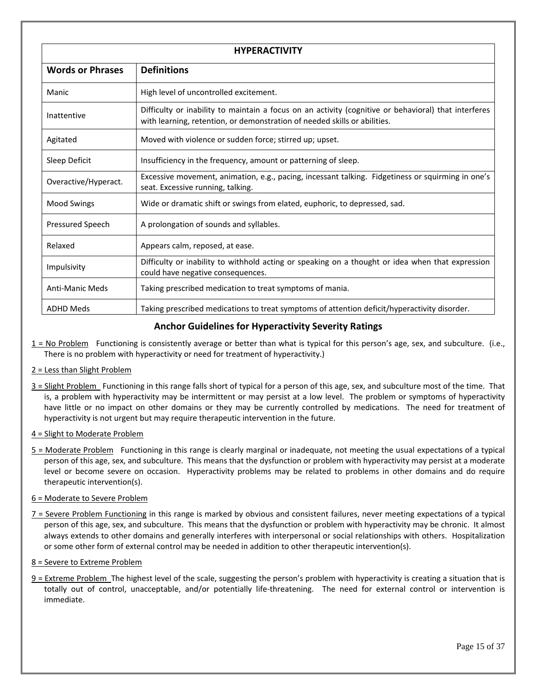| <b>HYPERACTIVITY</b>    |                                                                                                                                                                                   |  |  |  |
|-------------------------|-----------------------------------------------------------------------------------------------------------------------------------------------------------------------------------|--|--|--|
| <b>Words or Phrases</b> | <b>Definitions</b>                                                                                                                                                                |  |  |  |
| Manic                   | High level of uncontrolled excitement.                                                                                                                                            |  |  |  |
| Inattentive             | Difficulty or inability to maintain a focus on an activity (cognitive or behavioral) that interferes<br>with learning, retention, or demonstration of needed skills or abilities. |  |  |  |
| Agitated                | Moved with violence or sudden force; stirred up; upset.                                                                                                                           |  |  |  |
| Sleep Deficit           | Insufficiency in the frequency, amount or patterning of sleep.                                                                                                                    |  |  |  |
| Overactive/Hyperact.    | Excessive movement, animation, e.g., pacing, incessant talking. Fidgetiness or squirming in one's<br>seat. Excessive running, talking.                                            |  |  |  |
| <b>Mood Swings</b>      | Wide or dramatic shift or swings from elated, euphoric, to depressed, sad.                                                                                                        |  |  |  |
| Pressured Speech        | A prolongation of sounds and syllables.                                                                                                                                           |  |  |  |
| Relaxed                 | Appears calm, reposed, at ease.                                                                                                                                                   |  |  |  |
| Impulsivity             | Difficulty or inability to withhold acting or speaking on a thought or idea when that expression<br>could have negative consequences.                                             |  |  |  |
| <b>Anti-Manic Meds</b>  | Taking prescribed medication to treat symptoms of mania.                                                                                                                          |  |  |  |
| <b>ADHD Meds</b>        | Taking prescribed medications to treat symptoms of attention deficit/hyperactivity disorder.                                                                                      |  |  |  |

# **Anchor Guidelines for Hyperactivity Severity Ratings**

- $1 = No$  Problem Functioning is consistently average or better than what is typical for this person's age, sex, and subculture. (i.e., There is no problem with hyperactivity or need for treatment of hyperactivity.)
- 2 = Less than Slight Problem
- 3 = Slight Problem Functioning in this range falls short of typical for a person of this age, sex, and subculture most of the time. That is, a problem with hyperactivity may be intermittent or may persist at a low level. The problem or symptoms of hyperactivity have little or no impact on other domains or they may be currently controlled by medications. The need for treatment of hyperactivity is not urgent but may require therapeutic intervention in the future.
- 4 = Slight to Moderate Problem
- 5 = Moderate Problem Functioning in this range is clearly marginal or inadequate, not meeting the usual expectations of a typical person of this age, sex, and subculture. This means that the dysfunction or problem with hyperactivity may persist at a moderate level or become severe on occasion. Hyperactivity problems may be related to problems in other domains and do require therapeutic intervention(s).

#### 6 = Moderate to Severe Problem

- 7 = Severe Problem Functioning in this range is marked by obvious and consistent failures, never meeting expectations of a typical person of this age, sex, and subculture. This means that the dysfunction or problem with hyperactivity may be chronic. It almost always extends to other domains and generally interferes with interpersonal or social relationships with others. Hospitalization or some other form of external control may be needed in addition to other therapeutic intervention(s).
- 8 = Severe to Extreme Problem
- $9$  = Extreme Problem The highest level of the scale, suggesting the person's problem with hyperactivity is creating a situation that is totally out of control, unacceptable, and/or potentially life-threatening. The need for external control or intervention is immediate.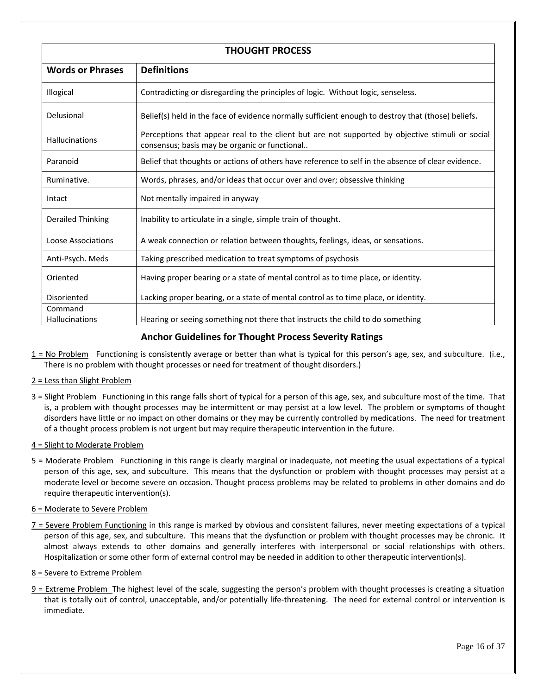| <b>THOUGHT PROCESS</b>  |                                                                                                                                                  |  |  |  |
|-------------------------|--------------------------------------------------------------------------------------------------------------------------------------------------|--|--|--|
| <b>Words or Phrases</b> | <b>Definitions</b>                                                                                                                               |  |  |  |
| Illogical               | Contradicting or disregarding the principles of logic. Without logic, senseless.                                                                 |  |  |  |
| Delusional              | Belief(s) held in the face of evidence normally sufficient enough to destroy that (those) beliefs.                                               |  |  |  |
| <b>Hallucinations</b>   | Perceptions that appear real to the client but are not supported by objective stimuli or social<br>consensus; basis may be organic or functional |  |  |  |
| Paranoid                | Belief that thoughts or actions of others have reference to self in the absence of clear evidence.                                               |  |  |  |
| Ruminative.             | Words, phrases, and/or ideas that occur over and over; obsessive thinking                                                                        |  |  |  |
| Intact                  | Not mentally impaired in anyway                                                                                                                  |  |  |  |
| Derailed Thinking       | Inability to articulate in a single, simple train of thought.                                                                                    |  |  |  |
| Loose Associations      | A weak connection or relation between thoughts, feelings, ideas, or sensations.                                                                  |  |  |  |
| Anti-Psych. Meds        | Taking prescribed medication to treat symptoms of psychosis                                                                                      |  |  |  |
| Oriented                | Having proper bearing or a state of mental control as to time place, or identity.                                                                |  |  |  |
| Disoriented             | Lacking proper bearing, or a state of mental control as to time place, or identity.                                                              |  |  |  |
| Command                 |                                                                                                                                                  |  |  |  |
| <b>Hallucinations</b>   | Hearing or seeing something not there that instructs the child to do something                                                                   |  |  |  |

# **Anchor Guidelines for Thought Process Severity Ratings**

1 = No Problem Functioning is consistently average or better than what is typical for this person's age, sex, and subculture. (i.e., There is no problem with thought processes or need for treatment of thought disorders.)

# 2 = Less than Slight Problem

3 = Slight Problem Functioning in this range falls short of typical for a person of this age, sex, and subculture most of the time. That is, a problem with thought processes may be intermittent or may persist at a low level. The problem or symptoms of thought disorders have little or no impact on other domains or they may be currently controlled by medications. The need for treatment of a thought process problem is not urgent but may require therapeutic intervention in the future.

# 4 = Slight to Moderate Problem

5 = Moderate Problem Functioning in this range is clearly marginal or inadequate, not meeting the usual expectations of a typical person of this age, sex, and subculture. This means that the dysfunction or problem with thought processes may persist at a moderate level or become severe on occasion. Thought process problems may be related to problems in other domains and do require therapeutic intervention(s).

# 6 = Moderate to Severe Problem

7 = Severe Problem Functioning in this range is marked by obvious and consistent failures, never meeting expectations of a typical person of this age, sex, and subculture. This means that the dysfunction or problem with thought processes may be chronic. It almost always extends to other domains and generally interferes with interpersonal or social relationships with others. Hospitalization or some other form of external control may be needed in addition to other therapeutic intervention(s).

# 8 = Severe to Extreme Problem

 $9$  = Extreme Problem The highest level of the scale, suggesting the person's problem with thought processes is creating a situation that is totally out of control, unacceptable, and/or potentially life‐threatening. The need for external control or intervention is immediate.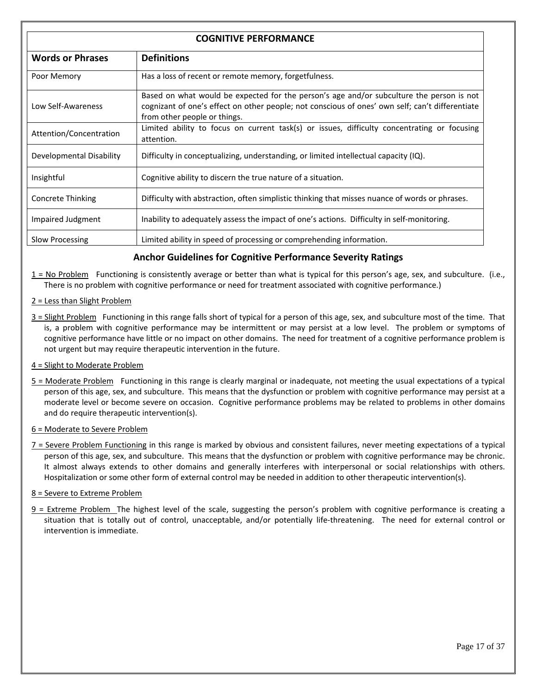| <b>COGNITIVE PERFORMANCE</b> |                                                                                                                                                                                                                             |  |  |
|------------------------------|-----------------------------------------------------------------------------------------------------------------------------------------------------------------------------------------------------------------------------|--|--|
| <b>Words or Phrases</b>      | <b>Definitions</b>                                                                                                                                                                                                          |  |  |
| Poor Memory                  | Has a loss of recent or remote memory, forgetfulness.                                                                                                                                                                       |  |  |
| Low Self-Awareness           | Based on what would be expected for the person's age and/or subculture the person is not<br>cognizant of one's effect on other people; not conscious of ones' own self; can't differentiate<br>from other people or things. |  |  |
| Attention/Concentration      | Limited ability to focus on current task(s) or issues, difficulty concentrating or focusing<br>attention.                                                                                                                   |  |  |
| Developmental Disability     | Difficulty in conceptualizing, understanding, or limited intellectual capacity $(IQ)$ .                                                                                                                                     |  |  |
| Insightful                   | Cognitive ability to discern the true nature of a situation.                                                                                                                                                                |  |  |
| Concrete Thinking            | Difficulty with abstraction, often simplistic thinking that misses nuance of words or phrases.                                                                                                                              |  |  |
| Impaired Judgment            | Inability to adequately assess the impact of one's actions. Difficulty in self-monitoring.                                                                                                                                  |  |  |
| Slow Processing              | Limited ability in speed of processing or comprehending information.                                                                                                                                                        |  |  |

## **Anchor Guidelines for Cognitive Performance Severity Ratings**

- $1 = No$  Problem Functioning is consistently average or better than what is typical for this person's age, sex, and subculture. (i.e., There is no problem with cognitive performance or need for treatment associated with cognitive performance.)
- 2 = Less than Slight Problem
- 3 = Slight Problem Functioning in this range falls short of typical for a person of this age, sex, and subculture most of the time. That is, a problem with cognitive performance may be intermittent or may persist at a low level. The problem or symptoms of cognitive performance have little or no impact on other domains. The need for treatment of a cognitive performance problem is not urgent but may require therapeutic intervention in the future.
- 4 = Slight to Moderate Problem
- 5 = Moderate Problem Functioning in this range is clearly marginal or inadequate, not meeting the usual expectations of a typical person of this age, sex, and subculture. This means that the dysfunction or problem with cognitive performance may persist at a moderate level or become severe on occasion. Cognitive performance problems may be related to problems in other domains and do require therapeutic intervention(s).
- 6 = Moderate to Severe Problem
- 7 = Severe Problem Functioning in this range is marked by obvious and consistent failures, never meeting expectations of a typical person of this age, sex, and subculture. This means that the dysfunction or problem with cognitive performance may be chronic. It almost always extends to other domains and generally interferes with interpersonal or social relationships with others. Hospitalization or some other form of external control may be needed in addition to other therapeutic intervention(s).
- 8 = Severe to Extreme Problem
- 9 = Extreme Problem The highest level of the scale, suggesting the person's problem with cognitive performance is creating a situation that is totally out of control, unacceptable, and/or potentially life-threatening. The need for external control or intervention is immediate.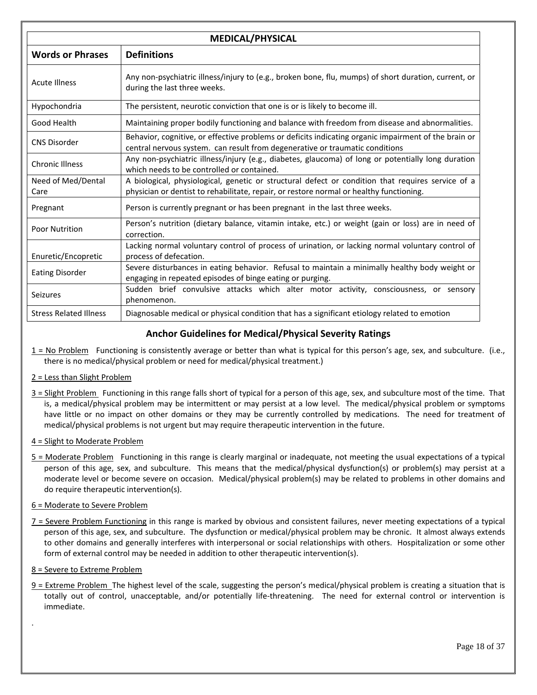| <b>MEDICAL/PHYSICAL</b>       |                                                                                                                                                                                              |  |  |  |
|-------------------------------|----------------------------------------------------------------------------------------------------------------------------------------------------------------------------------------------|--|--|--|
| <b>Words or Phrases</b>       | <b>Definitions</b>                                                                                                                                                                           |  |  |  |
| <b>Acute Illness</b>          | Any non-psychiatric illness/injury to (e.g., broken bone, flu, mumps) of short duration, current, or<br>during the last three weeks.                                                         |  |  |  |
| Hypochondria                  | The persistent, neurotic conviction that one is or is likely to become ill.                                                                                                                  |  |  |  |
| Good Health                   | Maintaining proper bodily functioning and balance with freedom from disease and abnormalities.                                                                                               |  |  |  |
| <b>CNS Disorder</b>           | Behavior, cognitive, or effective problems or deficits indicating organic impairment of the brain or<br>central nervous system. can result from degenerative or traumatic conditions         |  |  |  |
| <b>Chronic Illness</b>        | Any non-psychiatric illness/injury (e.g., diabetes, glaucoma) of long or potentially long duration<br>which needs to be controlled or contained.                                             |  |  |  |
| Need of Med/Dental<br>Care    | A biological, physiological, genetic or structural defect or condition that requires service of a<br>physician or dentist to rehabilitate, repair, or restore normal or healthy functioning. |  |  |  |
| Pregnant                      | Person is currently pregnant or has been pregnant in the last three weeks.                                                                                                                   |  |  |  |
| <b>Poor Nutrition</b>         | Person's nutrition (dietary balance, vitamin intake, etc.) or weight (gain or loss) are in need of<br>correction.                                                                            |  |  |  |
| Enuretic/Encopretic           | Lacking normal voluntary control of process of urination, or lacking normal voluntary control of<br>process of defecation.                                                                   |  |  |  |
| <b>Eating Disorder</b>        | Severe disturbances in eating behavior. Refusal to maintain a minimally healthy body weight or<br>engaging in repeated episodes of binge eating or purging.                                  |  |  |  |
| Seizures                      | Sudden brief convulsive attacks which alter motor activity, consciousness, or sensory<br>phenomenon.                                                                                         |  |  |  |
| <b>Stress Related Illness</b> | Diagnosable medical or physical condition that has a significant etiology related to emotion                                                                                                 |  |  |  |

## **Anchor Guidelines for Medical/Physical Severity Ratings**

- $1 = No$  Problem Functioning is consistently average or better than what is typical for this person's age, sex, and subculture. (i.e., there is no medical/physical problem or need for medical/physical treatment.)
- 2 = Less than Slight Problem
- 3 = Slight Problem Functioning in this range falls short of typical for a person of this age, sex, and subculture most of the time. That is, a medical/physical problem may be intermittent or may persist at a low level. The medical/physical problem or symptoms have little or no impact on other domains or they may be currently controlled by medications. The need for treatment of medical/physical problems is not urgent but may require therapeutic intervention in the future.
- 4 = Slight to Moderate Problem
- 5 = Moderate Problem Functioning in this range is clearly marginal or inadequate, not meeting the usual expectations of a typical person of this age, sex, and subculture. This means that the medical/physical dysfunction(s) or problem(s) may persist at a moderate level or become severe on occasion. Medical/physical problem(s) may be related to problems in other domains and do require therapeutic intervention(s).

#### 6 = Moderate to Severe Problem

- 7 = Severe Problem Functioning in this range is marked by obvious and consistent failures, never meeting expectations of a typical person of this age, sex, and subculture. The dysfunction or medical/physical problem may be chronic. It almost always extends to other domains and generally interferes with interpersonal or social relationships with others. Hospitalization or some other form of external control may be needed in addition to other therapeutic intervention(s).
- 8 = Severe to Extreme Problem

.

9 = Extreme Problem The highest level of the scale, suggesting the person's medical/physical problem is creating a situation that is totally out of control, unacceptable, and/or potentially life-threatening. The need for external control or intervention is immediate.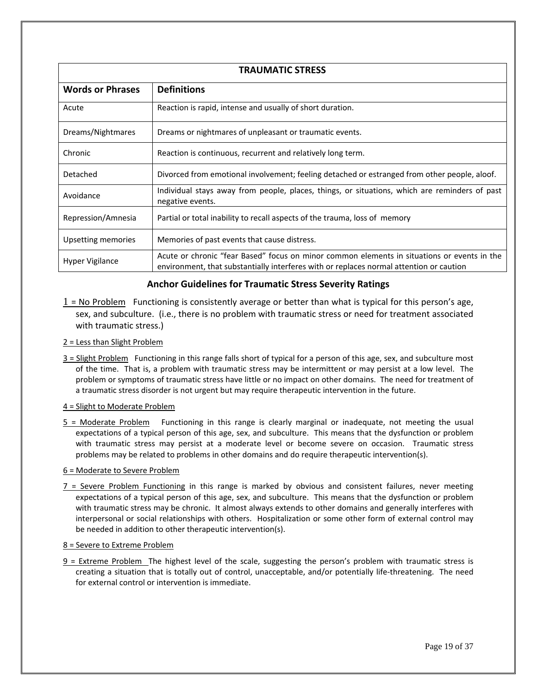| <b>TRAUMATIC STRESS</b> |                                                                                                                                                                                        |  |  |  |
|-------------------------|----------------------------------------------------------------------------------------------------------------------------------------------------------------------------------------|--|--|--|
| <b>Words or Phrases</b> | <b>Definitions</b>                                                                                                                                                                     |  |  |  |
| Acute                   | Reaction is rapid, intense and usually of short duration.                                                                                                                              |  |  |  |
| Dreams/Nightmares       | Dreams or nightmares of unpleasant or traumatic events.                                                                                                                                |  |  |  |
| Chronic                 | Reaction is continuous, recurrent and relatively long term.                                                                                                                            |  |  |  |
| Detached                | Divorced from emotional involvement; feeling detached or estranged from other people, aloof.                                                                                           |  |  |  |
| Avoidance               | Individual stays away from people, places, things, or situations, which are reminders of past<br>negative events.                                                                      |  |  |  |
| Repression/Amnesia      | Partial or total inability to recall aspects of the trauma, loss of memory                                                                                                             |  |  |  |
| Upsetting memories      | Memories of past events that cause distress.                                                                                                                                           |  |  |  |
| Hyper Vigilance         | Acute or chronic "fear Based" focus on minor common elements in situations or events in the<br>environment, that substantially interferes with or replaces normal attention or caution |  |  |  |

# **Anchor Guidelines for Traumatic Stress Severity Ratings**

- $1$  = No Problem Functioning is consistently average or better than what is typical for this person's age, sex, and subculture. (i.e., there is no problem with traumatic stress or need for treatment associated with traumatic stress.)
- 2 = Less than Slight Problem
- 3 = Slight Problem Functioning in this range falls short of typical for a person of this age, sex, and subculture most of the time. That is, a problem with traumatic stress may be intermittent or may persist at a low level. The problem or symptoms of traumatic stress have little or no impact on other domains. The need for treatment of a traumatic stress disorder is not urgent but may require therapeutic intervention in the future.
- 4 = Slight to Moderate Problem
- 5 = Moderate Problem Functioning in this range is clearly marginal or inadequate, not meeting the usual expectations of a typical person of this age, sex, and subculture. This means that the dysfunction or problem with traumatic stress may persist at a moderate level or become severe on occasion. Traumatic stress problems may be related to problems in other domains and do require therapeutic intervention(s).

#### 6 = Moderate to Severe Problem

7 = Severe Problem Functioning in this range is marked by obvious and consistent failures, never meeting expectations of a typical person of this age, sex, and subculture. This means that the dysfunction or problem with traumatic stress may be chronic. It almost always extends to other domains and generally interferes with interpersonal or social relationships with others. Hospitalization or some other form of external control may be needed in addition to other therapeutic intervention(s).

#### 8 = Severe to Extreme Problem

 $9$  = Extreme Problem The highest level of the scale, suggesting the person's problem with traumatic stress is creating a situation that is totally out of control, unacceptable, and/or potentially life‐threatening. The need for external control or intervention is immediate.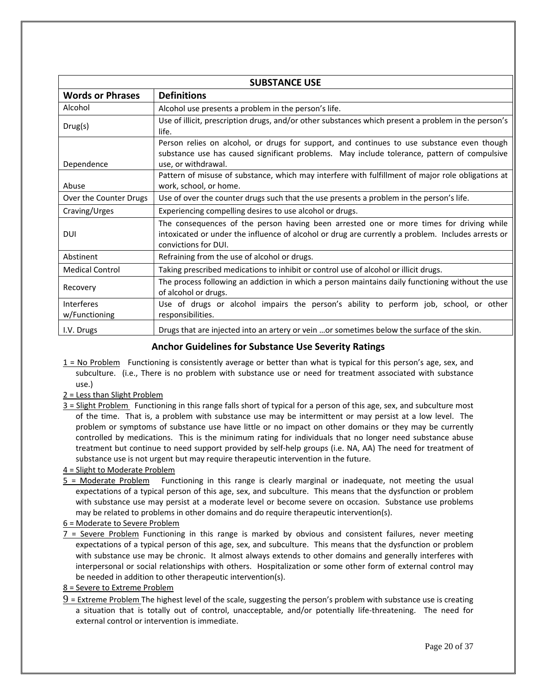| <b>SUBSTANCE USE</b>        |                                                                                                                                                                                                                       |  |  |  |
|-----------------------------|-----------------------------------------------------------------------------------------------------------------------------------------------------------------------------------------------------------------------|--|--|--|
| <b>Words or Phrases</b>     | <b>Definitions</b>                                                                                                                                                                                                    |  |  |  |
| Alcohol                     | Alcohol use presents a problem in the person's life.                                                                                                                                                                  |  |  |  |
| Drug(s)                     | Use of illicit, prescription drugs, and/or other substances which present a problem in the person's<br>life.                                                                                                          |  |  |  |
| Dependence                  | Person relies on alcohol, or drugs for support, and continues to use substance even though<br>substance use has caused significant problems. May include tolerance, pattern of compulsive<br>use, or withdrawal.      |  |  |  |
| Abuse                       | Pattern of misuse of substance, which may interfere with fulfillment of major role obligations at<br>work, school, or home.                                                                                           |  |  |  |
| Over the Counter Drugs      | Use of over the counter drugs such that the use presents a problem in the person's life.                                                                                                                              |  |  |  |
| Craving/Urges               | Experiencing compelling desires to use alcohol or drugs.                                                                                                                                                              |  |  |  |
| <b>DUI</b>                  | The consequences of the person having been arrested one or more times for driving while<br>intoxicated or under the influence of alcohol or drug are currently a problem. Includes arrests or<br>convictions for DUI. |  |  |  |
| Abstinent                   | Refraining from the use of alcohol or drugs.                                                                                                                                                                          |  |  |  |
| <b>Medical Control</b>      | Taking prescribed medications to inhibit or control use of alcohol or illicit drugs.                                                                                                                                  |  |  |  |
| Recovery                    | The process following an addiction in which a person maintains daily functioning without the use<br>of alcohol or drugs.                                                                                              |  |  |  |
| Interferes<br>w/Functioning | Use of drugs or alcohol impairs the person's ability to perform job, school, or other<br>responsibilities.                                                                                                            |  |  |  |
| I.V. Drugs                  | Drugs that are injected into an artery or vein or sometimes below the surface of the skin.                                                                                                                            |  |  |  |

## **Anchor Guidelines for Substance Use Severity Ratings**

- 1 = No Problem Functioning is consistently average or better than what is typical for this person's age, sex, and subculture. (i.e., There is no problem with substance use or need for treatment associated with substance use.)
- 2 = Less than Slight Problem
- 3 = Slight Problem Functioning in this range falls short of typical for a person of this age, sex, and subculture most of the time. That is, a problem with substance use may be intermittent or may persist at a low level. The problem or symptoms of substance use have little or no impact on other domains or they may be currently controlled by medications. This is the minimum rating for individuals that no longer need substance abuse treatment but continue to need support provided by self‐help groups (i.e. NA, AA) The need for treatment of substance use is not urgent but may require therapeutic intervention in the future.

## 4 = Slight to Moderate Problem

- 5 = Moderate Problem Functioning in this range is clearly marginal or inadequate, not meeting the usual expectations of a typical person of this age, sex, and subculture. This means that the dysfunction or problem with substance use may persist at a moderate level or become severe on occasion. Substance use problems may be related to problems in other domains and do require therapeutic intervention(s).
- 6 = Moderate to Severe Problem
- $7$  = Severe Problem Functioning in this range is marked by obvious and consistent failures, never meeting expectations of a typical person of this age, sex, and subculture. This means that the dysfunction or problem with substance use may be chronic. It almost always extends to other domains and generally interferes with interpersonal or social relationships with others. Hospitalization or some other form of external control may be needed in addition to other therapeutic intervention(s).
- 8 = Severe to Extreme Problem
- 9 = Extreme Problem The highest level of the scale, suggesting the person's problem with substance use is creating a situation that is totally out of control, unacceptable, and/or potentially life‐threatening. The need for external control or intervention is immediate.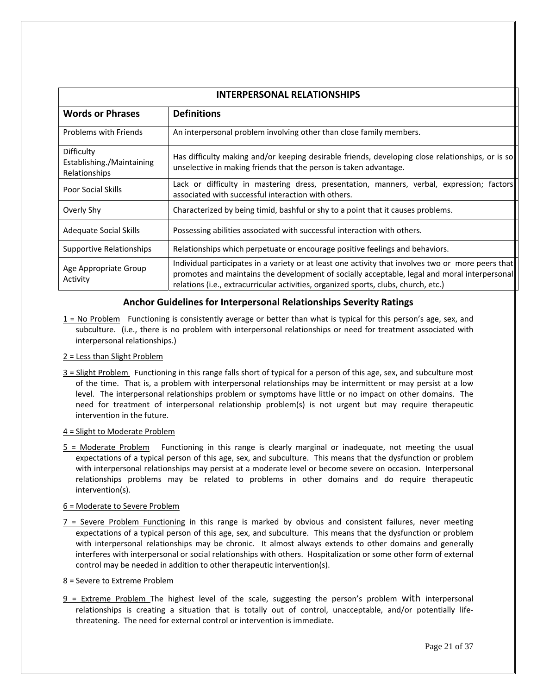| <b>INTERPERSONAL RELATIONSHIPS</b>                       |                                                                                                                                                                                                                                                                                           |  |  |  |
|----------------------------------------------------------|-------------------------------------------------------------------------------------------------------------------------------------------------------------------------------------------------------------------------------------------------------------------------------------------|--|--|--|
| <b>Words or Phrases</b>                                  | <b>Definitions</b>                                                                                                                                                                                                                                                                        |  |  |  |
| Problems with Friends                                    | An interpersonal problem involving other than close family members.                                                                                                                                                                                                                       |  |  |  |
| Difficulty<br>Establishing./Maintaining<br>Relationships | Has difficulty making and/or keeping desirable friends, developing close relationships, or is so<br>unselective in making friends that the person is taken advantage.                                                                                                                     |  |  |  |
| <b>Poor Social Skills</b>                                | Lack or difficulty in mastering dress, presentation, manners, verbal, expression; factors<br>associated with successful interaction with others.                                                                                                                                          |  |  |  |
| Overly Shy                                               | Characterized by being timid, bashful or shy to a point that it causes problems.                                                                                                                                                                                                          |  |  |  |
| Adequate Social Skills                                   | Possessing abilities associated with successful interaction with others.                                                                                                                                                                                                                  |  |  |  |
| Supportive Relationships                                 | Relationships which perpetuate or encourage positive feelings and behaviors.                                                                                                                                                                                                              |  |  |  |
| Age Appropriate Group<br>Activity                        | Individual participates in a variety or at least one activity that involves two or more peers that<br>promotes and maintains the development of socially acceptable, legal and moral interpersonal<br>relations (i.e., extracurricular activities, organized sports, clubs, church, etc.) |  |  |  |

## **Anchor Guidelines for Interpersonal Relationships Severity Ratings**

 $1 = No$  Problem Functioning is consistently average or better than what is typical for this person's age, sex, and subculture. (i.e., there is no problem with interpersonal relationships or need for treatment associated with interpersonal relationships.)

#### 2 = Less than Slight Problem

3 = Slight Problem Functioning in this range falls short of typical for a person of this age, sex, and subculture most of the time. That is, a problem with interpersonal relationships may be intermittent or may persist at a low level. The interpersonal relationships problem or symptoms have little or no impact on other domains. The need for treatment of interpersonal relationship problem(s) is not urgent but may require therapeutic intervention in the future.

#### 4 = Slight to Moderate Problem

5 = Moderate Problem Functioning in this range is clearly marginal or inadequate, not meeting the usual expectations of a typical person of this age, sex, and subculture. This means that the dysfunction or problem with interpersonal relationships may persist at a moderate level or become severe on occasion. Interpersonal relationships problems may be related to problems in other domains and do require therapeutic intervention(s).

#### 6 = Moderate to Severe Problem

7 = Severe Problem Functioning in this range is marked by obvious and consistent failures, never meeting expectations of a typical person of this age, sex, and subculture. This means that the dysfunction or problem with interpersonal relationships may be chronic. It almost always extends to other domains and generally interferes with interpersonal or social relationships with others. Hospitalization or some other form of external control may be needed in addition to other therapeutic intervention(s).

#### 8 = Severe to Extreme Problem

 $9$  = Extreme Problem The highest level of the scale, suggesting the person's problem with interpersonal relationships is creating a situation that is totally out of control, unacceptable, and/or potentially lifethreatening. The need for external control or intervention is immediate.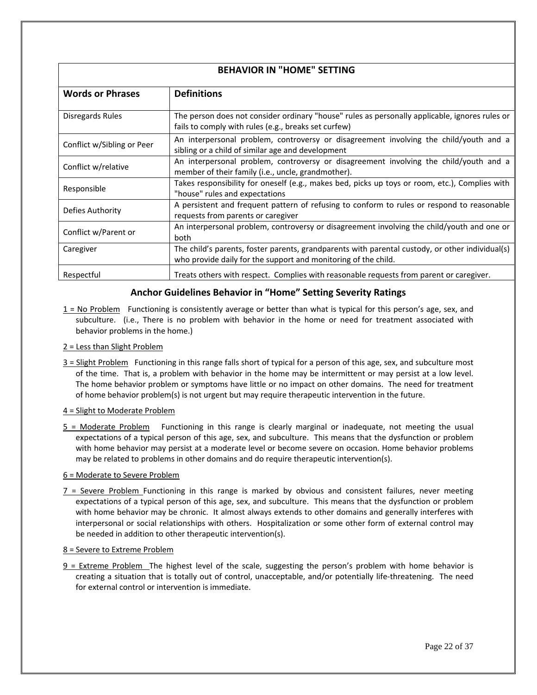| <b>BEHAVIOR IN "HOME" SETTING</b> |                                                                                                 |  |  |  |  |
|-----------------------------------|-------------------------------------------------------------------------------------------------|--|--|--|--|
|                                   |                                                                                                 |  |  |  |  |
| <b>Words or Phrases</b>           | <b>Definitions</b>                                                                              |  |  |  |  |
|                                   |                                                                                                 |  |  |  |  |
| Disregards Rules                  | The person does not consider ordinary "house" rules as personally applicable, ignores rules or  |  |  |  |  |
|                                   | fails to comply with rules (e.g., breaks set curfew)                                            |  |  |  |  |
|                                   | An interpersonal problem, controversy or disagreement involving the child/youth and a           |  |  |  |  |
| Conflict w/Sibling or Peer        | sibling or a child of similar age and development                                               |  |  |  |  |
|                                   | An interpersonal problem, controversy or disagreement involving the child/youth and a           |  |  |  |  |
| Conflict w/relative               | member of their family (i.e., uncle, grandmother).                                              |  |  |  |  |
|                                   | Takes responsibility for oneself (e.g., makes bed, picks up toys or room, etc.), Complies with  |  |  |  |  |
| Responsible                       | "house" rules and expectations                                                                  |  |  |  |  |
|                                   | A persistent and frequent pattern of refusing to conform to rules or respond to reasonable      |  |  |  |  |
| Defies Authority                  | requests from parents or caregiver                                                              |  |  |  |  |
|                                   | An interpersonal problem, controversy or disagreement involving the child/youth and one or      |  |  |  |  |
| Conflict w/Parent or              | both                                                                                            |  |  |  |  |
| Caregiver                         | The child's parents, foster parents, grandparents with parental custody, or other individual(s) |  |  |  |  |
|                                   | who provide daily for the support and monitoring of the child.                                  |  |  |  |  |
| Respectful                        | Treats others with respect. Complies with reasonable requests from parent or caregiver.         |  |  |  |  |
|                                   |                                                                                                 |  |  |  |  |

## **Anchor Guidelines Behavior in "Home" Setting Severity Ratings**

1 = No Problem Functioning is consistently average or better than what is typical for this person's age, sex, and subculture. (i.e., There is no problem with behavior in the home or need for treatment associated with behavior problems in the home.)

#### 2 = Less than Slight Problem

3 = Slight Problem Functioning in this range falls short of typical for a person of this age, sex, and subculture most of the time. That is, a problem with behavior in the home may be intermittent or may persist at a low level. The home behavior problem or symptoms have little or no impact on other domains. The need for treatment of home behavior problem(s) is not urgent but may require therapeutic intervention in the future.

#### 4 = Slight to Moderate Problem

5 = Moderate Problem Functioning in this range is clearly marginal or inadequate, not meeting the usual expectations of a typical person of this age, sex, and subculture. This means that the dysfunction or problem with home behavior may persist at a moderate level or become severe on occasion. Home behavior problems may be related to problems in other domains and do require therapeutic intervention(s).

#### 6 = Moderate to Severe Problem

7 = Severe Problem Functioning in this range is marked by obvious and consistent failures, never meeting expectations of a typical person of this age, sex, and subculture. This means that the dysfunction or problem with home behavior may be chronic. It almost always extends to other domains and generally interferes with interpersonal or social relationships with others. Hospitalization or some other form of external control may be needed in addition to other therapeutic intervention(s).

#### 8 = Severe to Extreme Problem

 $9$  = Extreme Problem The highest level of the scale, suggesting the person's problem with home behavior is creating a situation that is totally out of control, unacceptable, and/or potentially life‐threatening. The need for external control or intervention is immediate.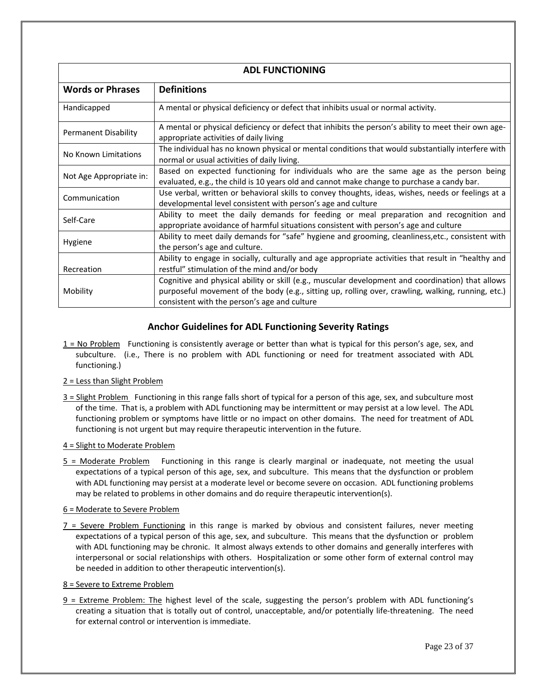| <b>ADL FUNCTIONING</b>      |                                                                                                                                                                                      |  |  |
|-----------------------------|--------------------------------------------------------------------------------------------------------------------------------------------------------------------------------------|--|--|
| <b>Words or Phrases</b>     | <b>Definitions</b>                                                                                                                                                                   |  |  |
| Handicapped                 | A mental or physical deficiency or defect that inhibits usual or normal activity.                                                                                                    |  |  |
| <b>Permanent Disability</b> | A mental or physical deficiency or defect that inhibits the person's ability to meet their own age-<br>appropriate activities of daily living                                        |  |  |
| No Known Limitations        | The individual has no known physical or mental conditions that would substantially interfere with<br>normal or usual activities of daily living.                                     |  |  |
| Not Age Appropriate in:     | Based on expected functioning for individuals who are the same age as the person being<br>evaluated, e.g., the child is 10 years old and cannot make change to purchase a candy bar. |  |  |
| Communication               | Use verbal, written or behavioral skills to convey thoughts, ideas, wishes, needs or feelings at a<br>developmental level consistent with person's age and culture                   |  |  |
| Self-Care                   | Ability to meet the daily demands for feeding or meal preparation and recognition and<br>appropriate avoidance of harmful situations consistent with person's age and culture        |  |  |
| Hygiene                     | Ability to meet daily demands for "safe" hygiene and grooming, cleanliness, etc., consistent with<br>the person's age and culture.                                                   |  |  |
| Recreation                  | Ability to engage in socially, culturally and age appropriate activities that result in "healthy and<br>restful" stimulation of the mind and/or body                                 |  |  |
|                             | Cognitive and physical ability or skill (e.g., muscular development and coordination) that allows                                                                                    |  |  |
| Mobility                    | purposeful movement of the body (e.g., sitting up, rolling over, crawling, walking, running, etc.)<br>consistent with the person's age and culture                                   |  |  |

# **Anchor Guidelines for ADL Functioning Severity Ratings**

- 1 = No Problem Functioning is consistently average or better than what is typical for this person's age, sex, and subculture. (i.e., There is no problem with ADL functioning or need for treatment associated with ADL functioning.)
- 2 = Less than Slight Problem
- 3 = Slight Problem Functioning in this range falls short of typical for a person of this age, sex, and subculture most of the time. That is, a problem with ADL functioning may be intermittent or may persist at a low level. The ADL functioning problem or symptoms have little or no impact on other domains. The need for treatment of ADL functioning is not urgent but may require therapeutic intervention in the future.
- 4 = Slight to Moderate Problem
- $5$  = Moderate Problem Functioning in this range is clearly marginal or inadequate, not meeting the usual expectations of a typical person of this age, sex, and subculture. This means that the dysfunction or problem with ADL functioning may persist at a moderate level or become severe on occasion. ADL functioning problems may be related to problems in other domains and do require therapeutic intervention(s).
- 6 = Moderate to Severe Problem
- $7$  = Severe Problem Functioning in this range is marked by obvious and consistent failures, never meeting expectations of a typical person of this age, sex, and subculture. This means that the dysfunction or problem with ADL functioning may be chronic. It almost always extends to other domains and generally interferes with interpersonal or social relationships with others. Hospitalization or some other form of external control may be needed in addition to other therapeutic intervention(s).
- 8 = Severe to Extreme Problem
- 9 = Extreme Problem: The highest level of the scale, suggesting the person's problem with ADL functioning's creating a situation that is totally out of control, unacceptable, and/or potentially life‐threatening. The need for external control or intervention is immediate.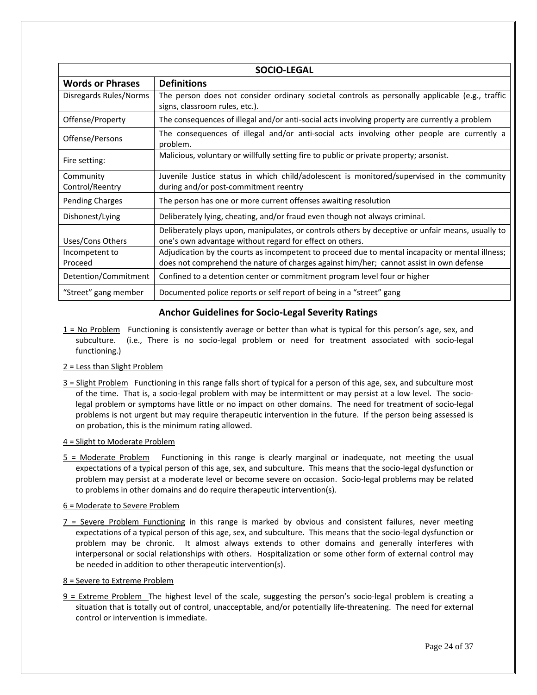| <b>SOCIO-LEGAL</b>           |                                                                                                                                                                                             |  |  |
|------------------------------|---------------------------------------------------------------------------------------------------------------------------------------------------------------------------------------------|--|--|
| <b>Words or Phrases</b>      | <b>Definitions</b>                                                                                                                                                                          |  |  |
| Disregards Rules/Norms       | The person does not consider ordinary societal controls as personally applicable (e.g., traffic<br>signs, classroom rules, etc.).                                                           |  |  |
| Offense/Property             | The consequences of illegal and/or anti-social acts involving property are currently a problem                                                                                              |  |  |
| Offense/Persons              | The consequences of illegal and/or anti-social acts involving other people are currently a<br>problem.                                                                                      |  |  |
| Fire setting:                | Malicious, voluntary or willfully setting fire to public or private property; arsonist.                                                                                                     |  |  |
| Community<br>Control/Reentry | Juvenile Justice status in which child/adolescent is monitored/supervised in the community<br>during and/or post-commitment reentry                                                         |  |  |
| <b>Pending Charges</b>       | The person has one or more current offenses awaiting resolution                                                                                                                             |  |  |
| Dishonest/Lying              | Deliberately lying, cheating, and/or fraud even though not always criminal.                                                                                                                 |  |  |
| Uses/Cons Others             | Deliberately plays upon, manipulates, or controls others by deceptive or unfair means, usually to<br>one's own advantage without regard for effect on others.                               |  |  |
| Incompetent to<br>Proceed    | Adjudication by the courts as incompetent to proceed due to mental incapacity or mental illness;<br>does not comprehend the nature of charges against him/her; cannot assist in own defense |  |  |
| Detention/Commitment         | Confined to a detention center or commitment program level four or higher                                                                                                                   |  |  |
| "Street" gang member         | Documented police reports or self report of being in a "street" gang                                                                                                                        |  |  |

## **Anchor Guidelines for Socio‐Legal Severity Ratings**

1 = No Problem Functioning is consistently average or better than what is typical for this person's age, sex, and subculture. (i.e., There is no socio-legal problem or need for treatment associated with socio-legal functioning.)

#### 2 = Less than Slight Problem

3 = Slight Problem Functioning in this range falls short of typical for a person of this age, sex, and subculture most of the time. That is, a socio‐legal problem with may be intermittent or may persist at a low level. The socio‐ legal problem or symptoms have little or no impact on other domains. The need for treatment of socio‐legal problems is not urgent but may require therapeutic intervention in the future. If the person being assessed is on probation, this is the minimum rating allowed.

#### 4 = Slight to Moderate Problem

 $5$  = Moderate Problem Functioning in this range is clearly marginal or inadequate, not meeting the usual expectations of a typical person of this age, sex, and subculture. This means that the socio-legal dysfunction or problem may persist at a moderate level or become severe on occasion. Socio‐legal problems may be related to problems in other domains and do require therapeutic intervention(s).

#### 6 = Moderate to Severe Problem

7 = Severe Problem Functioning in this range is marked by obvious and consistent failures, never meeting expectations of a typical person of this age, sex, and subculture. This means that the socio‐legal dysfunction or problem may be chronic. It almost always extends to other domains and generally interferes with interpersonal or social relationships with others. Hospitalization or some other form of external control may be needed in addition to other therapeutic intervention(s).

#### 8 = Severe to Extreme Problem

 $9$  = Extreme Problem The highest level of the scale, suggesting the person's socio-legal problem is creating a situation that is totally out of control, unacceptable, and/or potentially life‐threatening. The need for external control or intervention is immediate.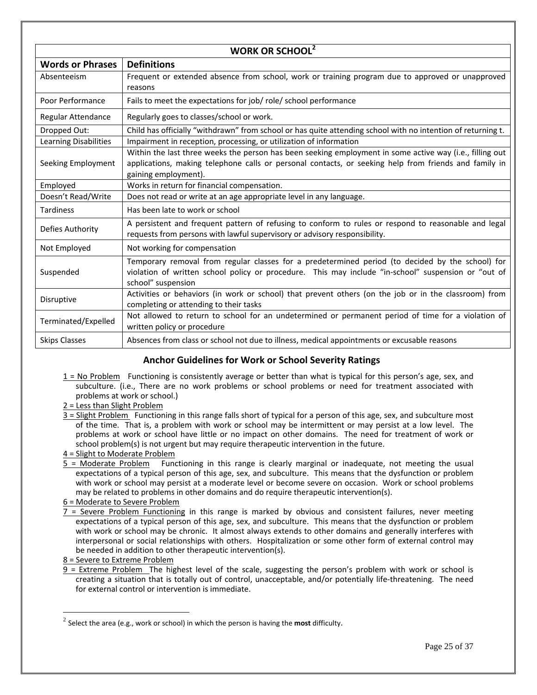| <b>WORK OR SCHOOL</b> <sup>2</sup> |                                                                                                                                                                                                                                           |  |  |  |
|------------------------------------|-------------------------------------------------------------------------------------------------------------------------------------------------------------------------------------------------------------------------------------------|--|--|--|
| <b>Words or Phrases</b>            | <b>Definitions</b>                                                                                                                                                                                                                        |  |  |  |
| Absenteeism                        | Frequent or extended absence from school, work or training program due to approved or unapproved<br>reasons                                                                                                                               |  |  |  |
| Poor Performance                   | Fails to meet the expectations for job/ role/ school performance                                                                                                                                                                          |  |  |  |
| Regular Attendance                 | Regularly goes to classes/school or work.                                                                                                                                                                                                 |  |  |  |
| Dropped Out:                       | Child has officially "withdrawn" from school or has quite attending school with no intention of returning t.                                                                                                                              |  |  |  |
| Learning Disabilities              | Impairment in reception, processing, or utilization of information                                                                                                                                                                        |  |  |  |
| Seeking Employment                 | Within the last three weeks the person has been seeking employment in some active way (i.e., filling out<br>applications, making telephone calls or personal contacts, or seeking help from friends and family in<br>gaining employment). |  |  |  |
| Employed                           | Works in return for financial compensation.                                                                                                                                                                                               |  |  |  |
| Doesn't Read/Write                 | Does not read or write at an age appropriate level in any language.                                                                                                                                                                       |  |  |  |
| <b>Tardiness</b>                   | Has been late to work or school                                                                                                                                                                                                           |  |  |  |
| Defies Authority                   | A persistent and frequent pattern of refusing to conform to rules or respond to reasonable and legal<br>requests from persons with lawful supervisory or advisory responsibility.                                                         |  |  |  |
| Not Employed                       | Not working for compensation                                                                                                                                                                                                              |  |  |  |
| Suspended                          | Temporary removal from regular classes for a predetermined period (to decided by the school) for<br>violation of written school policy or procedure. This may include "in-school" suspension or "out of<br>school" suspension             |  |  |  |
| Disruptive                         | Activities or behaviors (in work or school) that prevent others (on the job or in the classroom) from<br>completing or attending to their tasks                                                                                           |  |  |  |
| Terminated/Expelled                | Not allowed to return to school for an undetermined or permanent period of time for a violation of<br>written policy or procedure                                                                                                         |  |  |  |
| <b>Skips Classes</b>               | Absences from class or school not due to illness, medical appointments or excusable reasons                                                                                                                                               |  |  |  |

# **Anchor Guidelines for Work or School Severity Ratings**

- $1 = No$  Problem Functioning is consistently average or better than what is typical for this person's age, sex, and subculture. (i.e., There are no work problems or school problems or need for treatment associated with problems at work or school.)
- 2 = Less than Slight Problem
- 3 = Slight Problem Functioning in this range falls short of typical for a person of this age, sex, and subculture most of the time. That is, a problem with work or school may be intermittent or may persist at a low level. The problems at work or school have little or no impact on other domains. The need for treatment of work or school problem(s) is not urgent but may require therapeutic intervention in the future.
- 4 = Slight to Moderate Problem
- 5 = Moderate Problem Functioning in this range is clearly marginal or inadequate, not meeting the usual expectations of a typical person of this age, sex, and subculture. This means that the dysfunction or problem with work or school may persist at a moderate level or become severe on occasion. Work or school problems may be related to problems in other domains and do require therapeutic intervention(s).
- 6 = Moderate to Severe Problem
- 7 = Severe Problem Functioning in this range is marked by obvious and consistent failures, never meeting expectations of a typical person of this age, sex, and subculture. This means that the dysfunction or problem with work or school may be chronic. It almost always extends to other domains and generally interferes with interpersonal or social relationships with others. Hospitalization or some other form of external control may be needed in addition to other therapeutic intervention(s).
- 8 = Severe to Extreme Problem

 $\overline{a}$ 

9 = Extreme Problem The highest level of the scale, suggesting the person's problem with work or school is creating a situation that is totally out of control, unacceptable, and/or potentially life‐threatening. The need for external control or intervention is immediate.

<sup>2</sup> Select the area (e.g., work or school) in which the person is having the **most** difficulty.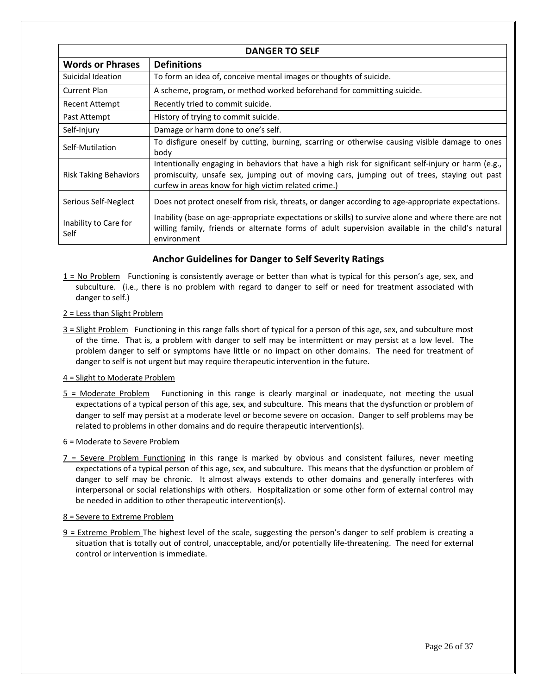| <b>DANGER TO SELF</b>         |                                                                                                                                                                                                                                                             |  |  |  |
|-------------------------------|-------------------------------------------------------------------------------------------------------------------------------------------------------------------------------------------------------------------------------------------------------------|--|--|--|
| <b>Words or Phrases</b>       | <b>Definitions</b>                                                                                                                                                                                                                                          |  |  |  |
| Suicidal Ideation             | To form an idea of, conceive mental images or thoughts of suicide.                                                                                                                                                                                          |  |  |  |
| <b>Current Plan</b>           | A scheme, program, or method worked beforehand for committing suicide.                                                                                                                                                                                      |  |  |  |
| Recent Attempt                | Recently tried to commit suicide.                                                                                                                                                                                                                           |  |  |  |
| Past Attempt                  | History of trying to commit suicide.                                                                                                                                                                                                                        |  |  |  |
| Self-Injury                   | Damage or harm done to one's self.                                                                                                                                                                                                                          |  |  |  |
| Self-Mutilation               | To disfigure oneself by cutting, burning, scarring or otherwise causing visible damage to ones<br>body                                                                                                                                                      |  |  |  |
| <b>Risk Taking Behaviors</b>  | Intentionally engaging in behaviors that have a high risk for significant self-injury or harm (e.g.,<br>promiscuity, unsafe sex, jumping out of moving cars, jumping out of trees, staying out past<br>curfew in areas know for high victim related crime.) |  |  |  |
| Serious Self-Neglect          | Does not protect oneself from risk, threats, or danger according to age-appropriate expectations.                                                                                                                                                           |  |  |  |
| Inability to Care for<br>Self | Inability (base on age-appropriate expectations or skills) to survive alone and where there are not<br>willing family, friends or alternate forms of adult supervision available in the child's natural<br>environment                                      |  |  |  |

## **Anchor Guidelines for Danger to Self Severity Ratings**

1 = No Problem Functioning is consistently average or better than what is typical for this person's age, sex, and subculture. (i.e., there is no problem with regard to danger to self or need for treatment associated with danger to self.)

#### 2 = Less than Slight Problem

3 = Slight Problem Functioning in this range falls short of typical for a person of this age, sex, and subculture most of the time. That is, a problem with danger to self may be intermittent or may persist at a low level. The problem danger to self or symptoms have little or no impact on other domains. The need for treatment of danger to self is not urgent but may require therapeutic intervention in the future.

#### 4 = Slight to Moderate Problem

5 = Moderate Problem Functioning in this range is clearly marginal or inadequate, not meeting the usual expectations of a typical person of this age, sex, and subculture. This means that the dysfunction or problem of danger to self may persist at a moderate level or become severe on occasion. Danger to self problems may be related to problems in other domains and do require therapeutic intervention(s).

#### 6 = Moderate to Severe Problem

7 = Severe Problem Functioning in this range is marked by obvious and consistent failures, never meeting expectations of a typical person of this age, sex, and subculture. This means that the dysfunction or problem of danger to self may be chronic. It almost always extends to other domains and generally interferes with interpersonal or social relationships with others. Hospitalization or some other form of external control may be needed in addition to other therapeutic intervention(s).

#### 8 = Severe to Extreme Problem

9 = Extreme Problem The highest level of the scale, suggesting the person's danger to self problem is creating a situation that is totally out of control, unacceptable, and/or potentially life‐threatening. The need for external control or intervention is immediate.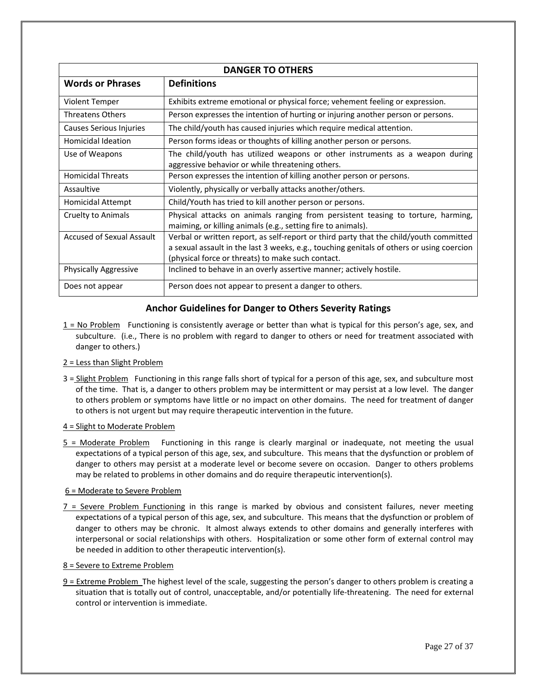| <b>DANGER TO OTHERS</b>          |                                                                                                                                                                                                                                          |  |
|----------------------------------|------------------------------------------------------------------------------------------------------------------------------------------------------------------------------------------------------------------------------------------|--|
| <b>Words or Phrases</b>          | <b>Definitions</b>                                                                                                                                                                                                                       |  |
| Violent Temper                   | Exhibits extreme emotional or physical force; vehement feeling or expression.                                                                                                                                                            |  |
| <b>Threatens Others</b>          | Person expresses the intention of hurting or injuring another person or persons.                                                                                                                                                         |  |
| Causes Serious Injuries          | The child/youth has caused injuries which require medical attention.                                                                                                                                                                     |  |
| Homicidal Ideation               | Person forms ideas or thoughts of killing another person or persons.                                                                                                                                                                     |  |
| Use of Weapons                   | The child/youth has utilized weapons or other instruments as a weapon during<br>aggressive behavior or while threatening others.                                                                                                         |  |
| <b>Homicidal Threats</b>         | Person expresses the intention of killing another person or persons.                                                                                                                                                                     |  |
| Assaultive                       | Violently, physically or verbally attacks another/others.                                                                                                                                                                                |  |
| Homicidal Attempt                | Child/Youth has tried to kill another person or persons.                                                                                                                                                                                 |  |
| Cruelty to Animals               | Physical attacks on animals ranging from persistent teasing to torture, harming,<br>maiming, or killing animals (e.g., setting fire to animals).                                                                                         |  |
| <b>Accused of Sexual Assault</b> | Verbal or written report, as self-report or third party that the child/youth committed<br>a sexual assault in the last 3 weeks, e.g., touching genitals of others or using coercion<br>(physical force or threats) to make such contact. |  |
| <b>Physically Aggressive</b>     | Inclined to behave in an overly assertive manner; actively hostile.                                                                                                                                                                      |  |
| Does not appear                  | Person does not appear to present a danger to others.                                                                                                                                                                                    |  |

## **Anchor Guidelines for Danger to Others Severity Ratings**

1 = No Problem Functioning is consistently average or better than what is typical for this person's age, sex, and subculture. (i.e., There is no problem with regard to danger to others or need for treatment associated with danger to others.)

#### 2 = Less than Slight Problem

3 = Slight Problem Functioning in this range falls short of typical for a person of this age, sex, and subculture most of the time. That is, a danger to others problem may be intermittent or may persist at a low level. The danger to others problem or symptoms have little or no impact on other domains. The need for treatment of danger to others is not urgent but may require therapeutic intervention in the future.

#### 4 = Slight to Moderate Problem

5 = Moderate Problem Functioning in this range is clearly marginal or inadequate, not meeting the usual expectations of a typical person of this age, sex, and subculture. This means that the dysfunction or problem of danger to others may persist at a moderate level or become severe on occasion. Danger to others problems may be related to problems in other domains and do require therapeutic intervention(s).

#### 6 = Moderate to Severe Problem

 $7$  = Severe Problem Functioning in this range is marked by obvious and consistent failures, never meeting expectations of a typical person of this age, sex, and subculture. This means that the dysfunction or problem of danger to others may be chronic. It almost always extends to other domains and generally interferes with interpersonal or social relationships with others. Hospitalization or some other form of external control may be needed in addition to other therapeutic intervention(s).

#### 8 = Severe to Extreme Problem

9 = Extreme Problem The highest level of the scale, suggesting the person's danger to others problem is creating a situation that is totally out of control, unacceptable, and/or potentially life‐threatening. The need for external control or intervention is immediate.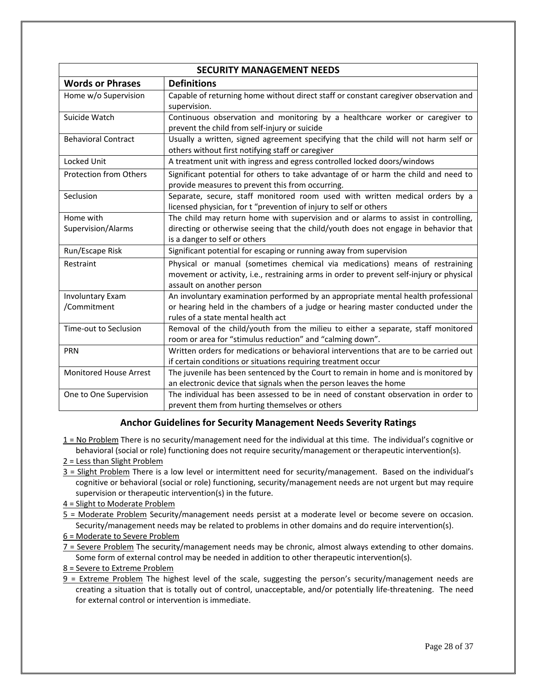| <b>SECURITY MANAGEMENT NEEDS</b> |                                                                                          |  |  |  |
|----------------------------------|------------------------------------------------------------------------------------------|--|--|--|
| <b>Words or Phrases</b>          | <b>Definitions</b>                                                                       |  |  |  |
| Home w/o Supervision             | Capable of returning home without direct staff or constant caregiver observation and     |  |  |  |
|                                  | supervision.                                                                             |  |  |  |
| Suicide Watch                    | Continuous observation and monitoring by a healthcare worker or caregiver to             |  |  |  |
|                                  | prevent the child from self-injury or suicide                                            |  |  |  |
| <b>Behavioral Contract</b>       | Usually a written, signed agreement specifying that the child will not harm self or      |  |  |  |
|                                  | others without first notifying staff or caregiver                                        |  |  |  |
| Locked Unit                      | A treatment unit with ingress and egress controlled locked doors/windows                 |  |  |  |
| <b>Protection from Others</b>    | Significant potential for others to take advantage of or harm the child and need to      |  |  |  |
|                                  | provide measures to prevent this from occurring.                                         |  |  |  |
| Seclusion                        | Separate, secure, staff monitored room used with written medical orders by a             |  |  |  |
|                                  | licensed physician, for t "prevention of injury to self or others                        |  |  |  |
| Home with                        | The child may return home with supervision and or alarms to assist in controlling,       |  |  |  |
| Supervision/Alarms               | directing or otherwise seeing that the child/youth does not engage in behavior that      |  |  |  |
|                                  | is a danger to self or others                                                            |  |  |  |
| Run/Escape Risk                  | Significant potential for escaping or running away from supervision                      |  |  |  |
| Restraint                        | Physical or manual (sometimes chemical via medications) means of restraining             |  |  |  |
|                                  | movement or activity, i.e., restraining arms in order to prevent self-injury or physical |  |  |  |
|                                  | assault on another person                                                                |  |  |  |
| <b>Involuntary Exam</b>          | An involuntary examination performed by an appropriate mental health professional        |  |  |  |
| /Commitment                      | or hearing held in the chambers of a judge or hearing master conducted under the         |  |  |  |
|                                  | rules of a state mental health act                                                       |  |  |  |
| Time-out to Seclusion            | Removal of the child/youth from the milieu to either a separate, staff monitored         |  |  |  |
|                                  | room or area for "stimulus reduction" and "calming down".                                |  |  |  |
| <b>PRN</b>                       | Written orders for medications or behavioral interventions that are to be carried out    |  |  |  |
|                                  | if certain conditions or situations requiring treatment occur                            |  |  |  |
| <b>Monitored House Arrest</b>    | The juvenile has been sentenced by the Court to remain in home and is monitored by       |  |  |  |
|                                  | an electronic device that signals when the person leaves the home                        |  |  |  |
| One to One Supervision           | The individual has been assessed to be in need of constant observation in order to       |  |  |  |
|                                  | prevent them from hurting themselves or others                                           |  |  |  |

## **Anchor Guidelines for Security Management Needs Severity Ratings**

1 = No Problem There is no security/management need for the individual at this time. The individual's cognitive or behavioral (social or role) functioning does not require security/management or therapeutic intervention(s).

2 = Less than Slight Problem

- 3 = Slight Problem There is a low level or intermittent need for security/management. Based on the individual's cognitive or behavioral (social or role) functioning, security/management needs are not urgent but may require supervision or therapeutic intervention(s) in the future.
- 4 = Slight to Moderate Problem
- 5 = Moderate Problem Security/management needs persist at a moderate level or become severe on occasion. Security/management needs may be related to problems in other domains and do require intervention(s).
- 6 = Moderate to Severe Problem
- 7 = Severe Problem The security/management needs may be chronic, almost always extending to other domains. Some form of external control may be needed in addition to other therapeutic intervention(s).

8 = Severe to Extreme Problem

 $9$  = Extreme Problem The highest level of the scale, suggesting the person's security/management needs are creating a situation that is totally out of control, unacceptable, and/or potentially life‐threatening. The need for external control or intervention is immediate.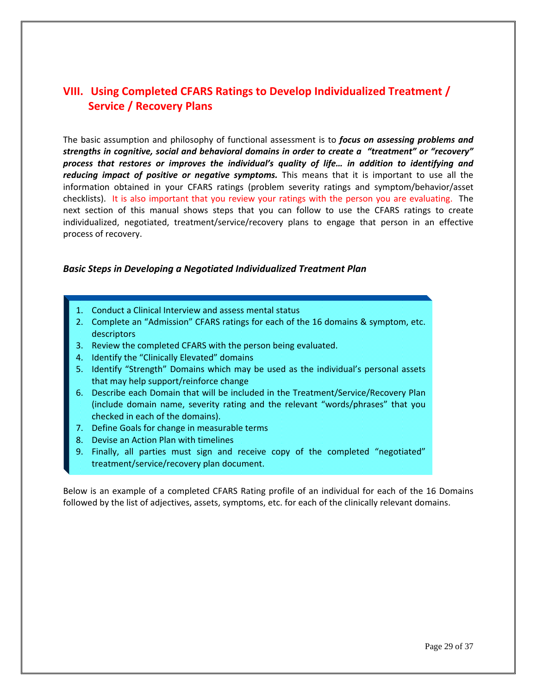# **VIII. Using Completed CFARS Ratings to Develop Individualized Treatment / Service / Recovery Plans**

The basic assumption and philosophy of functional assessment is to *focus on assessing problems and strengths in cognitive, social and behavioral domains in order to create a "treatment" or "recovery" process that restores or improves the individual's quality of life… in addition to identifying and reducing impact of positive or negative symptoms.* This means that it is important to use all the information obtained in your CFARS ratings (problem severity ratings and symptom/behavior/asset checklists). It is also important that you review your ratings with the person you are evaluating. The next section of this manual shows steps that you can follow to use the CFARS ratings to create individualized, negotiated, treatment/service/recovery plans to engage that person in an effective process of recovery.

## *Basic Steps in Developing a Negotiated Individualized Treatment Plan*

- 1. Conduct a Clinical Interview and assess mental status
- 2. Complete an "Admission" CFARS ratings for each of the 16 domains & symptom, etc. descriptors
- 3. Review the completed CFARS with the person being evaluated.
- 4. Identify the "Clinically Elevated" domains
- 5. Identify "Strength" Domains which may be used as the individual's personal assets that may help support/reinforce change
- 6. Describe each Domain that will be included in the Treatment/Service/Recovery Plan (include domain name, severity rating and the relevant "words/phrases" that you checked in each of the domains).
- 7. Define Goals for change in measurable terms
- 8. Devise an Action Plan with timelines
- 9. Finally, all parties must sign and receive copy of the completed "negotiated" treatment/service/recovery plan document.

Below is an example of a completed CFARS Rating profile of an individual for each of the 16 Domains followed by the list of adjectives, assets, symptoms, etc. for each of the clinically relevant domains.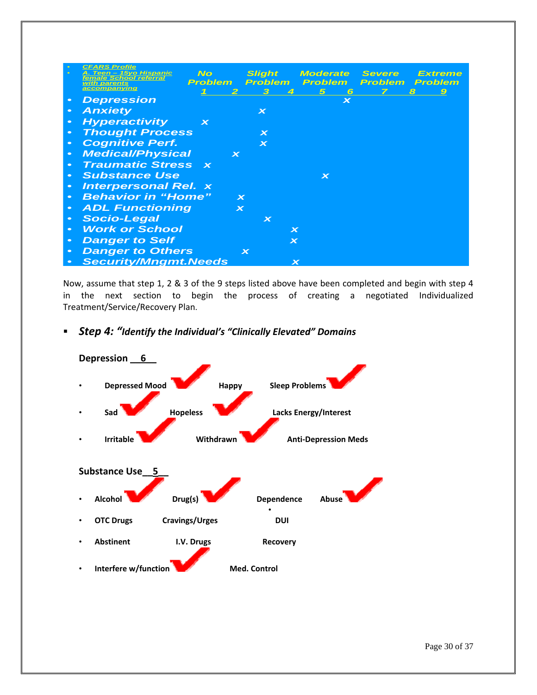|           | <b>CFARS Profile</b>                                        |                          |                                |                                |                |                    |
|-----------|-------------------------------------------------------------|--------------------------|--------------------------------|--------------------------------|----------------|--------------------|
|           | <b>No</b><br>Teen - 15yo Hispanic<br>female School referral |                          | <b>Slight</b>                  | <i><b>Moderate</b></i>         | <b>Severe</b>  | Extreme            |
|           | Problem<br>with parents<br>accompanying                     |                          | <b>Problem</b><br>$\mathbf{B}$ | <b>Problem</b><br>5            | <b>Problem</b> | Problem            |
|           | <b>Depression</b>                                           |                          | 4                              | 6<br>$\boldsymbol{\mathsf{x}}$ |                | 8<br>$\mathcal{Q}$ |
| $\bullet$ | <b>Anxiety</b>                                              |                          | $\boldsymbol{\mathsf{x}}$      |                                |                |                    |
| $\bullet$ | <b>Hyperactivity</b><br>$\boldsymbol{\mathsf{x}}$           |                          |                                |                                |                |                    |
| $\bullet$ | <b>Thought Process</b>                                      |                          | $\bm{x}$                       |                                |                |                    |
| $\bullet$ | <b>Cognitive Perf.</b>                                      |                          | $\mathbf x$                    |                                |                |                    |
| $\bullet$ | <b>Medical/Physical</b>                                     | $\boldsymbol{\varkappa}$ |                                |                                |                |                    |
| $\bullet$ | <b>Traumatic Stress x</b>                                   |                          |                                |                                |                |                    |
| $\bullet$ | <b>Substance Use</b>                                        |                          |                                | $\bm{x}$                       |                |                    |
| $\bullet$ | <b>Interpersonal Rel. x</b>                                 |                          |                                |                                |                |                    |
| $\bullet$ | <b>Behavior in "Home"</b>                                   | $\mathbf x$              |                                |                                |                |                    |
| $\bullet$ | <b>ADL Functioning</b>                                      | $\mathbf x$              |                                |                                |                |                    |
| $\bullet$ | <b>Socio-Legal</b>                                          |                          | $\bm{\times}$                  |                                |                |                    |
| $\bullet$ | <b>Work or School</b>                                       |                          | $\boldsymbol{\varkappa}$       |                                |                |                    |
| $\bullet$ | <b>Danger to Self</b>                                       |                          | $\boldsymbol{\mathsf{x}}$      |                                |                |                    |
| $\bullet$ | <b>Danger to Others</b>                                     |                          | $\mathbf x$                    |                                |                |                    |
|           | <b>Security/Mngmt.Needs</b>                                 |                          | $\boldsymbol{\mathsf{x}}$      |                                |                |                    |

Now, assume that step 1, 2 & 3 of the 9 steps listed above have been completed and begin with step 4 in the next section to begin the process of creating a negotiated Individualized Treatment/Service/Recovery Plan.



*Step 4: "Identify the Individual's "Clinically Elevated" Domains*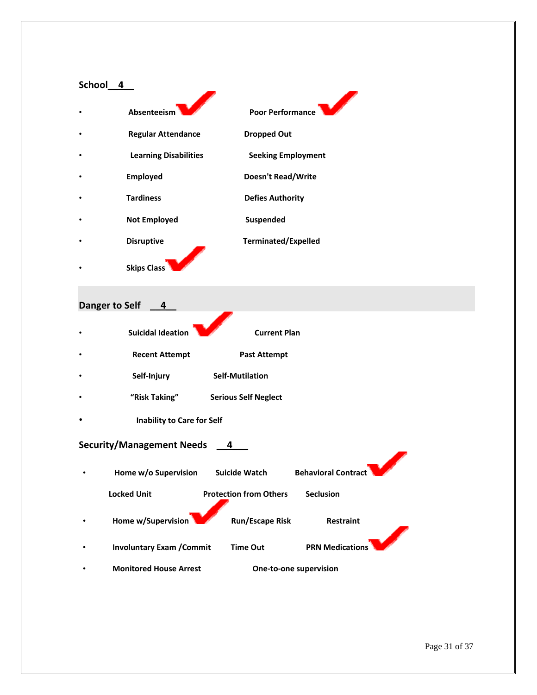# **School\_\_4\_\_** •  **Absenteeism Poor Performance**  •  **Regular Attendance Dropped Out**  •  **Learning Disabilities Seeking Employment**  •  **Employed Doesn't Read/Write**  •  **Tardiness Defies Authority Not Employed CONSIDER Suspended** •  **Disruptive Terminated/Expelled**

•  **Skips Class**

# **Danger to Self \_\_4\_\_**

| $\bullet$ | <b>Suicidal Ideation</b> | <b>Current Plan</b> |
|-----------|--------------------------|---------------------|
| $\bullet$ | <b>Recent Attempt</b>    | <b>Past Attempt</b> |

- **Self‐Injury Self‐Mutilation**
- **"Risk Taking" Serious Self Neglect**
- **Inability to Care for Self**

# **Security/Management Needs \_\_4\_\_\_**

| ٠ | Home w/o Supervision             | <b>Suicide Watch</b>          | <b>Behavioral Contract</b> |
|---|----------------------------------|-------------------------------|----------------------------|
|   | <b>Locked Unit</b>               | <b>Protection from Others</b> | <b>Seclusion</b>           |
|   | Home w/Supervision               | <b>Run/Escape Risk</b>        | <b>Restraint</b>           |
|   | <b>Involuntary Exam / Commit</b> | Time Out                      | <b>PRN Medications</b>     |
|   | <b>Monitored House Arrest</b>    |                               | One-to-one supervision     |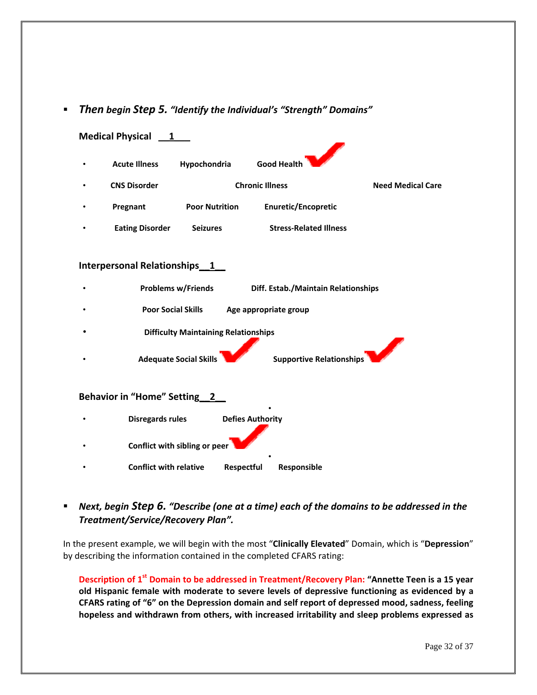## *Then begin Step 5. "Identify the Individual's "Strength" Domains"*



# *Next, begin Step 6. "Describe (one at a time) each of the domains to be addressed in the Treatment/Service/Recovery Plan".*

In the present example, we will begin with the most "**Clinically Elevated**" Domain, which is "**Depression**" by describing the information contained in the completed CFARS rating:

**Description of 1st Domain to be addressed in Treatment/Recovery Plan: "Annette Teen is a 15 year old Hispanic female with moderate to severe levels of depressive functioning as evidenced by a CFARS rating of "6" on the Depression domain and self report of depressed mood, sadness, feeling hopeless and withdrawn from others, with increased irritability and sleep problems expressed as**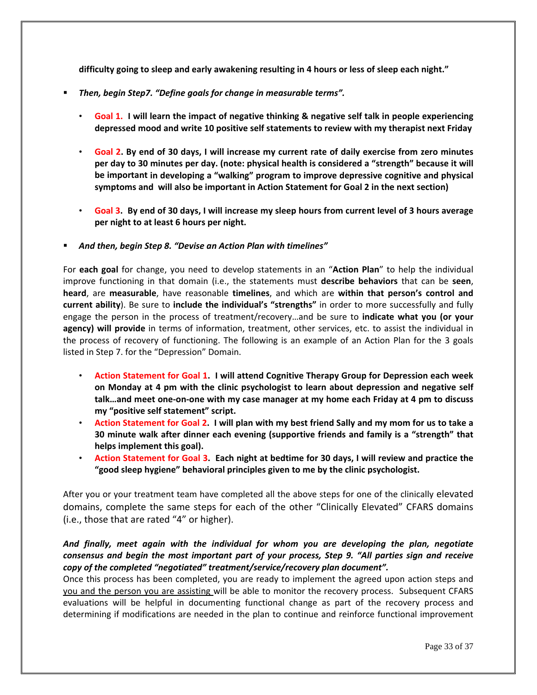**difficulty going to sleep and early awakening resulting in 4 hours or less of sleep each night."**

- *Then, begin Step7. "Define goals for change in measurable terms".*
	- Goal 1. I will learn the impact of negative thinking & negative self talk in people experiencing **depressed mood and write 10 positive self statements to review with my therapist next Friday**
	- Goal 2. By end of 30 days, I will increase my current rate of daily exercise from zero minutes **per day to 30 minutes per day. (note: physical health is considered a "strength" because it will be important in developing a "walking" program to improve depressive cognitive and physical symptoms and will also be important in Action Statement for Goal 2 in the next section)**
	- Goal 3. By end of 30 days, I will increase my sleep hours from current level of 3 hours average **per night to at least 6 hours per night.**
- *And then, begin Step 8. "Devise an Action Plan with timelines"*

For **each goal** for change, you need to develop statements in an "**Action Plan**" to help the individual improve functioning in that domain (i.e., the statements must **describe behaviors** that can be **seen**, **heard**, are **measurable**, have reasonable **timelines**, and which are **within that person's control and current ability**). Be sure to **include the individual's "strengths"** in order to more successfully and fully engage the person in the process of treatment/recovery…and be sure to **indicate what you (or your agency) will provide** in terms of information, treatment, other services, etc. to assist the individual in the process of recovery of functioning. The following is an example of an Action Plan for the 3 goals listed in Step 7. for the "Depression" Domain.

- **Action Statement for Goal 1. I will attend Cognitive Therapy Group for Depression each week on Monday at 4 pm with the clinic psychologist to learn about depression and negative self** talk...and meet one-on-one with my case manager at my home each Friday at 4 pm to discuss **my "positive self statement" script.**
- Action Statement for Goal 2. I will plan with my best friend Sally and my mom for us to take a **30 minute walk after dinner each evening (supportive friends and family is a "strength" that helps implement this goal).**
- Action Statement for Goal 3. Each night at bedtime for 30 days, I will review and practice the **"good sleep hygiene" behavioral principles given to me by the clinic psychologist.**

After you or your treatment team have completed all the above steps for one of the clinically elevated domains, complete the same steps for each of the other "Clinically Elevated" CFARS domains (i.e., those that are rated "4" or higher).

# *And finally, meet again with the individual for whom you are developing the plan, negotiate consensus and begin the most important part of your process, Step 9. "All parties sign and receive copy of the completed "negotiated" treatment/service/recovery plan document".*

Once this process has been completed, you are ready to implement the agreed upon action steps and you and the person you are assisting will be able to monitor the recovery process. Subsequent CFARS evaluations will be helpful in documenting functional change as part of the recovery process and determining if modifications are needed in the plan to continue and reinforce functional improvement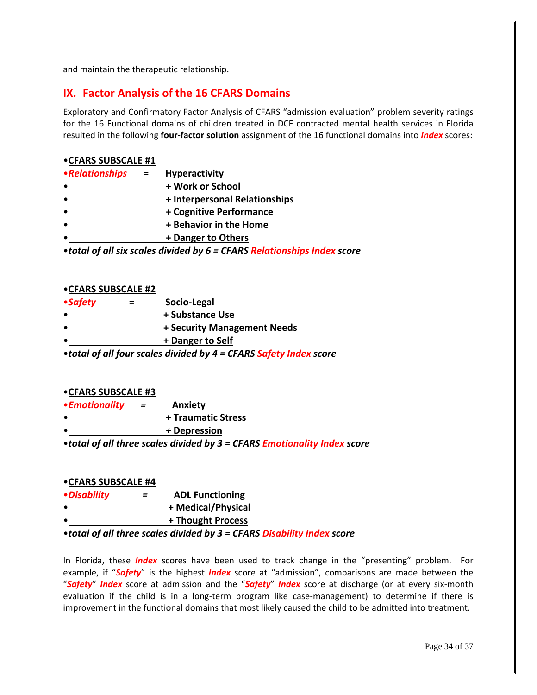and maintain the therapeutic relationship.

# **IX. Factor Analysis of the 16 CFARS Domains**

Exploratory and Confirmatory Factor Analysis of CFARS "admission evaluation" problem severity ratings for the 16 Functional domains of children treated in DCF contracted mental health services in Florida resulted in the following **four‐factor solution** assignment of the 16 functional domains into *Index* scores:

## •**CFARS SUBSCALE #1**

| •Relationships | <b>Hyperactivity</b>          |
|----------------|-------------------------------|
|                | + Work or School              |
|                | + Interpersonal Relationships |
|                | + Cognitive Performance       |
|                | + Behavior in the Home        |
|                | + Danger to Others            |

•*total of all six scales divided by 6 = CFARS Relationships Index score*

## •**CFARS SUBSCALE #2**

| = | Socio-Legal                 |
|---|-----------------------------|
|   | + Substance Use             |
|   | + Security Management Needs |
|   | + Danger to Self            |
|   |                             |

•*total of all four scales divided by 4 = CFARS Safety Index score*

#### •**CFARS SUBSCALE #3**

- •*Emotionality =* **Anxiety**
- • **+ Traumatic Stress**
- • *+* **Depression**

•*total of all three scales divided by 3 = CFARS Emotionality Index score*

## •**CFARS SUBSCALE #4**

- •*Disability =* **ADL Functioning**
- • **+ Medical/Physical**
	- • **+ Thought Process**

## •*total of all three scales divided by 3 = CFARS Disability Index score*

In Florida, these *Index* scores have been used to track change in the "presenting" problem. For example, if "*Safety*" is the highest *Index* score at "admission", comparisons are made between the "*Safety*" *Index* score at admission and the "*Safety*" *Index* score at discharge (or at every six‐month evaluation if the child is in a long-term program like case-management) to determine if there is improvement in the functional domains that most likely caused the child to be admitted into treatment.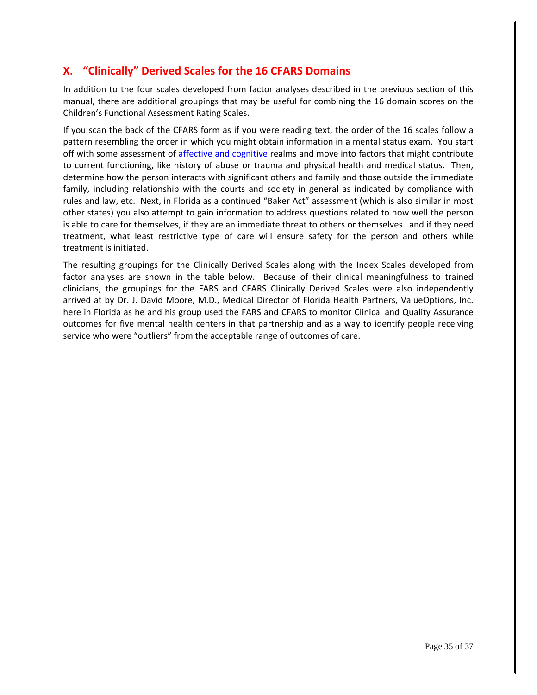# **X. "Clinically" Derived Scales for the 16 CFARS Domains**

In addition to the four scales developed from factor analyses described in the previous section of this manual, there are additional groupings that may be useful for combining the 16 domain scores on the Children's Functional Assessment Rating Scales.

If you scan the back of the CFARS form as if you were reading text, the order of the 16 scales follow a pattern resembling the order in which you might obtain information in a mental status exam. You start off with some assessment of affective and cognitive realms and move into factors that might contribute to current functioning, like history of abuse or trauma and physical health and medical status. Then, determine how the person interacts with significant others and family and those outside the immediate family, including relationship with the courts and society in general as indicated by compliance with rules and law, etc. Next, in Florida as a continued "Baker Act" assessment (which is also similar in most other states) you also attempt to gain information to address questions related to how well the person is able to care for themselves, if they are an immediate threat to others or themselves…and if they need treatment, what least restrictive type of care will ensure safety for the person and others while treatment is initiated.

The resulting groupings for the Clinically Derived Scales along with the Index Scales developed from factor analyses are shown in the table below. Because of their clinical meaningfulness to trained clinicians, the groupings for the FARS and CFARS Clinically Derived Scales were also independently arrived at by Dr. J. David Moore, M.D., Medical Director of Florida Health Partners, ValueOptions, Inc. here in Florida as he and his group used the FARS and CFARS to monitor Clinical and Quality Assurance outcomes for five mental health centers in that partnership and as a way to identify people receiving service who were "outliers" from the acceptable range of outcomes of care.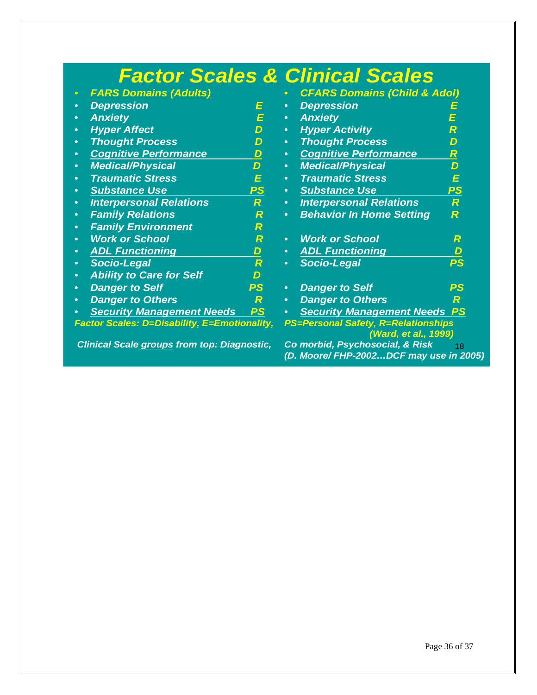|                                                    |                          |                                                             | <b>Factor Scales &amp; Clinical Scales</b>                                       |                          |  |
|----------------------------------------------------|--------------------------|-------------------------------------------------------------|----------------------------------------------------------------------------------|--------------------------|--|
| <b>FARS Domains (Adults)</b>                       |                          |                                                             | <b>CFARS Domains (Child &amp; Adol)</b>                                          |                          |  |
| <b>Depression</b><br>$\bullet$                     | E                        | $\bullet$                                                   | <b>Depression</b>                                                                | E                        |  |
| <b>Anxiety</b><br>$\bullet$                        | E                        | $\bullet$                                                   | <b>Anxiety</b>                                                                   |                          |  |
| <b>Hyper Affect</b><br>$\bullet$                   | D                        | $\bullet$                                                   | <b>Hyper Activity</b>                                                            | R                        |  |
| <b>Thought Process</b><br>$\bullet$                | D                        | $\bullet$                                                   | <b>Thought Process</b>                                                           | D                        |  |
| <b>Cognitive Performance</b><br>$\bullet$          | $\boldsymbol{D}$         | $\bullet$                                                   | <b>Cognitive Performance</b>                                                     | R                        |  |
| <b>Medical/Physical</b><br>$\bullet$               | $\overline{D}$           | $\bullet$                                                   | <b>Medical/Physical</b>                                                          | D                        |  |
| <b>Traumatic Stress</b><br>$\bullet$               | E                        | $\bullet$                                                   | <b>Traumatic Stress</b>                                                          | E                        |  |
| <b>Substance Use</b><br>$\bullet$                  | <u>PS</u>                | $\bullet$                                                   | <b>Substance Use</b>                                                             | PS                       |  |
| <b>Interpersonal Relations</b><br>$\bullet$        | $\overline{\mathcal{R}}$ | $\bullet$                                                   | <b>Interpersonal Relations</b>                                                   | $\overline{\mathcal{R}}$ |  |
| <b>Family Relations</b><br>$\bullet$               | R                        | $\bullet$                                                   | <b>Behavior In Home Setting</b>                                                  | R                        |  |
| <b>Family Environment</b><br>$\bullet$             | R                        |                                                             |                                                                                  |                          |  |
| <b>Work or School</b><br>$\bullet$                 | R                        | $\bullet$                                                   | <b>Work or School</b>                                                            | R                        |  |
| <b>ADL Functioning</b><br>$\bullet$                | $\overline{D}$           | $\bullet$                                                   | <b>ADL Functioning</b>                                                           | D                        |  |
| <b>Socio-Legal</b><br>$\bullet$                    | R                        | $\bullet$                                                   | <b>Socio-Legal</b>                                                               | PS                       |  |
| <b>Ability to Care for Self</b><br>$\bullet$       | D                        |                                                             |                                                                                  |                          |  |
| <b>Danger to Self</b><br>$\bullet$                 | PS.                      | $\bullet$                                                   | <b>Danger to Self</b>                                                            | PS                       |  |
| <b>Danger to Others</b><br>$\bullet$               | R                        | $\bullet$                                                   | <b>Danger to Others</b>                                                          | R                        |  |
| <b>Security Management Needs</b>                   | PS                       |                                                             | <b>Security Management Needs</b>                                                 | PS                       |  |
| Factor Scales: D=Disability, E=Emotionality,       |                          | PS=Personal Safety, R=Relationships<br>(Ward, et al., 1999) |                                                                                  |                          |  |
| <b>Clinical Scale groups from top: Diagnostic,</b> |                          |                                                             | Co morbid, Psychosocial, & Risk<br>18<br>(D. Moore/ FHP-2002DCF may use in 2005) |                          |  |